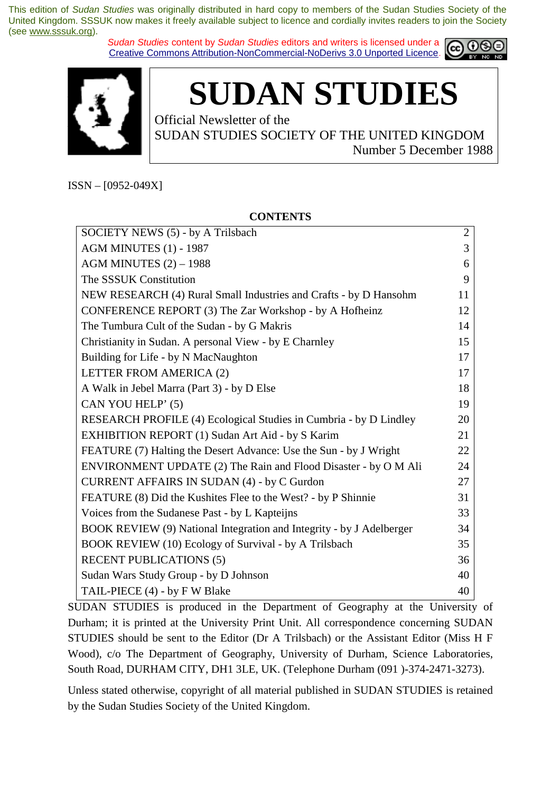*Sudan Studies* content by *Sudan Studies* editors and writers is licensed under a Creative Commons Attribution-NonCommercial-NoDerivs 3.0 Unported Licence.





# **SUDAN STUDIES**

Official Newsletter of the

SUDAN STUDIES SOCIETY OF THE UNITED KINGDOM Number 5 December 1988

ISSN – [0952-049X]

#### SOCIETY NEWS (5) - by A Trilsbach AGM MINUTES (1) - 1987 AGM MINUTES (2) – 1988 The SSSUK Constitution NEW RESEARCH (4) Rural Small Industries and Crafts - by D Hansohm CONFERENCE REPORT (3) The Zar Workshop - by A Hofheinz The Tumbura Cult of the Sudan - by G Makris Christianity in Sudan. A personal View - by E Charnley Building for Life - by N MacNaughton LETTER FROM AMERICA (2) A Walk in Jebel Marra (Part 3) - by D Else CAN YOU HELP' (5) RESEARCH PROFILE (4) Ecological Studies in Cumbria - by D Lindley EXHIBITION REPORT (1) Sudan Art Aid - by S Karim FEATURE (7) Halting the Desert Advance: Use the Sun - by J Wright ENVIRONMENT UPDATE (2) The Rain and Flood Disaster - by O M Ali CURRENT AFFAIRS IN SUDAN (4) - by C Gurdon FEATURE (8) Did the Kushites Flee to the West? - by P Shinnie Voices from the Sudanese Past - by L Kapteijns BOOK REVIEW (9) National Integration and Integrity - by J Adelberger BOOK REVIEW (10) Ecology of Survival - by A Trilsbach RECENT PUBLICATIONS (5) Sudan Wars Study Group - by D Johnson TAIL-PIECE (4) - by F W Blake 2 3 6 9 11 12 14 15 17 17 18 19 20 21 22 24 27 31 33 34 35 36 40 40

SUDAN STUDIES is produced in the Department of Geography at the University of Durham; it is printed at the University Print Unit. All correspondence concerning SUDAN STUDIES should be sent to the Editor (Dr A Trilsbach) or the Assistant Editor (Miss H F Wood), c/o The Department of Geography, University of Durham, Science Laboratories, South Road, DURHAM CITY, DH1 3LE, UK. (Telephone Durham (091 )-374-2471-3273).

Unless stated otherwise, copyright of all material published in SUDAN STUDIES is retained by the Sudan Studies Society of the United Kingdom.

#### **CONTENTS**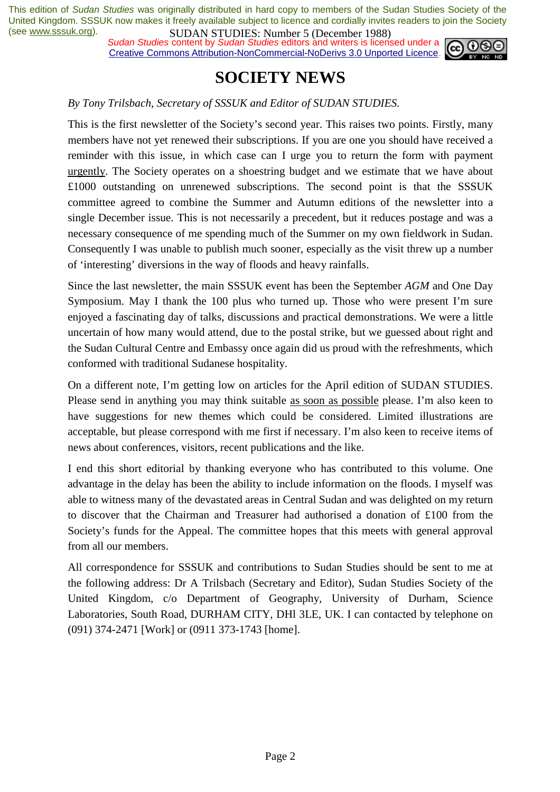*Sudan Studies content by Sudan Studies editors and writers is licensed under a* Creative Commons Attribution-NonCommercial-NoDerivs 3.0 Unported Licence.



### **SOCIETY NEWS**

#### *By Tony Trilsbach, Secretary of SSSUK and Editor of SUDAN STUDIES.*

This is the first newsletter of the Society's second year. This raises two points. Firstly, many members have not yet renewed their subscriptions. If you are one you should have received a reminder with this issue, in which case can I urge you to return the form with payment urgently. The Society operates on a shoestring budget and we estimate that we have about £1000 outstanding on unrenewed subscriptions. The second point is that the SSSUK committee agreed to combine the Summer and Autumn editions of the newsletter into a single December issue. This is not necessarily a precedent, but it reduces postage and was a necessary consequence of me spending much of the Summer on my own fieldwork in Sudan. Consequently I was unable to publish much sooner, especially as the visit threw up a number of 'interesting' diversions in the way of floods and heavy rainfalls.

Since the last newsletter, the main SSSUK event has been the September *AGM* and One Day Symposium. May I thank the 100 plus who turned up. Those who were present I'm sure enjoyed a fascinating day of talks, discussions and practical demonstrations. We were a little uncertain of how many would attend, due to the postal strike, but we guessed about right and the Sudan Cultural Centre and Embassy once again did us proud with the refreshments, which conformed with traditional Sudanese hospitality.

On a different note, I'm getting low on articles for the April edition of SUDAN STUDIES. Please send in anything you may think suitable as soon as possible please. I'm also keen to have suggestions for new themes which could be considered. Limited illustrations are acceptable, but please correspond with me first if necessary. I'm also keen to receive items of news about conferences, visitors, recent publications and the like.

I end this short editorial by thanking everyone who has contributed to this volume. One advantage in the delay has been the ability to include information on the floods. I myself was able to witness many of the devastated areas in Central Sudan and was delighted on my return to discover that the Chairman and Treasurer had authorised a donation of £100 from the Society's funds for the Appeal. The committee hopes that this meets with general approval from all our members.

All correspondence for SSSUK and contributions to Sudan Studies should be sent to me at the following address: Dr A Trilsbach (Secretary and Editor), Sudan Studies Society of the United Kingdom, c/o Department of Geography, University of Durham, Science Laboratories, South Road, DURHAM CITY, DHl 3LE, UK. I can contacted by telephone on (091) 374-2471 [Work] or (0911 373-1743 [home].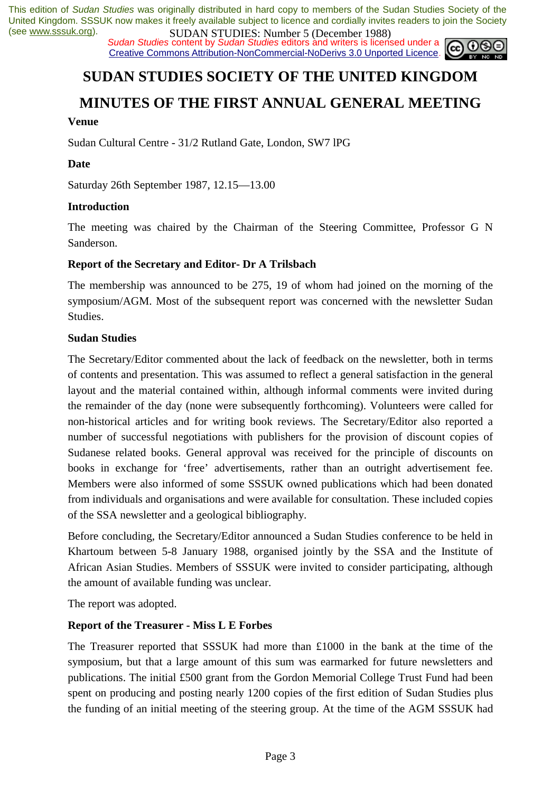*Sudan Studies* content by *Sudan Studies* editors and writers is licensed under a Creative Commons Attribution-NonCommercial-NoDerivs 3.0 Unported Licence.

## ငင

## **SUDAN STUDIES SOCIETY OF THE UNITED KINGDOM**

### **MINUTES OF THE FIRST ANNUAL GENERAL MEETING**

#### **Venue**

Sudan Cultural Centre - 31/2 Rutland Gate, London, SW7 lPG

#### **Date**

Saturday 26th September 1987, 12.15—13.00

#### **Introduction**

The meeting was chaired by the Chairman of the Steering Committee, Professor G N Sanderson.

#### **Report of the Secretary and Editor- Dr A Trilsbach**

The membership was announced to be 275, 19 of whom had joined on the morning of the symposium/AGM. Most of the subsequent report was concerned with the newsletter Sudan Studies.

#### **Sudan Studies**

The Secretary/Editor commented about the lack of feedback on the newsletter, both in terms of contents and presentation. This was assumed to reflect a general satisfaction in the general layout and the material contained within, although informal comments were invited during the remainder of the day (none were subsequently forthcoming). Volunteers were called for non-historical articles and for writing book reviews. The Secretary/Editor also reported a number of successful negotiations with publishers for the provision of discount copies of Sudanese related books. General approval was received for the principle of discounts on books in exchange for 'free' advertisements, rather than an outright advertisement fee. Members were also informed of some SSSUK owned publications which had been donated from individuals and organisations and were available for consultation. These included copies of the SSA newsletter and a geological bibliography.

Before concluding, the Secretary/Editor announced a Sudan Studies conference to be held in Khartoum between 5-8 January 1988, organised jointly by the SSA and the Institute of African Asian Studies. Members of SSSUK were invited to consider participating, although the amount of available funding was unclear.

The report was adopted.

#### **Report of the Treasurer - Miss L E Forbes**

The Treasurer reported that SSSUK had more than £1000 in the bank at the time of the symposium, but that a large amount of this sum was earmarked for future newsletters and publications. The initial £500 grant from the Gordon Memorial College Trust Fund had been spent on producing and posting nearly 1200 copies of the first edition of Sudan Studies plus the funding of an initial meeting of the steering group. At the time of the AGM SSSUK had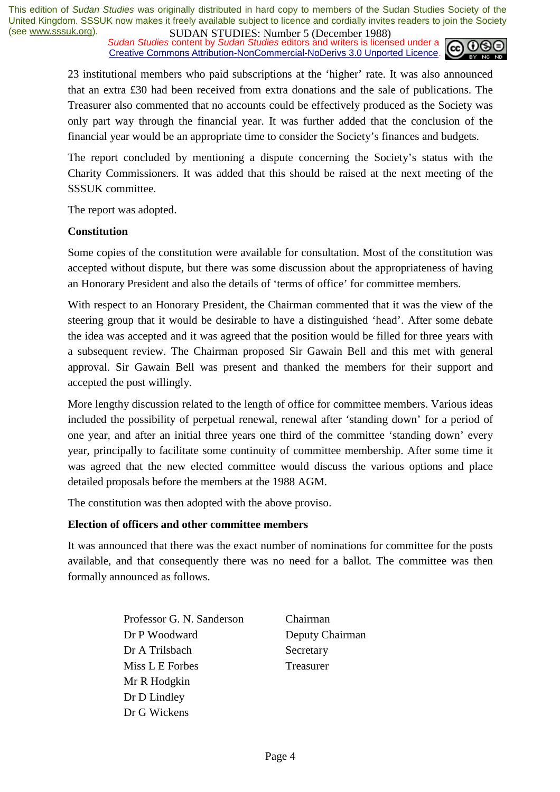*Sudan Studies content by Sudan Studies editors and writers is licensed under a* Creative Commons Attribution-NonCommercial-NoDerivs 3.0 Unported Licence.



23 institutional members who paid subscriptions at the 'higher' rate. It was also announced that an extra £30 had been received from extra donations and the sale of publications. The Treasurer also commented that no accounts could be effectively produced as the Society was only part way through the financial year. It was further added that the conclusion of the financial year would be an appropriate time to consider the Society's finances and budgets.

The report concluded by mentioning a dispute concerning the Society's status with the Charity Commissioners. It was added that this should be raised at the next meeting of the SSSUK committee.

The report was adopted.

#### **Constitution**

Some copies of the constitution were available for consultation. Most of the constitution was accepted without dispute, but there was some discussion about the appropriateness of having an Honorary President and also the details of 'terms of office' for committee members.

With respect to an Honorary President, the Chairman commented that it was the view of the steering group that it would be desirable to have a distinguished 'head'. After some debate the idea was accepted and it was agreed that the position would be filled for three years with a subsequent review. The Chairman proposed Sir Gawain Bell and this met with general approval. Sir Gawain Bell was present and thanked the members for their support and accepted the post willingly.

More lengthy discussion related to the length of office for committee members. Various ideas included the possibility of perpetual renewal, renewal after 'standing down' for a period of one year, and after an initial three years one third of the committee 'standing down' every year, principally to facilitate some continuity of committee membership. After some time it was agreed that the new elected committee would discuss the various options and place detailed proposals before the members at the 1988 AGM.

The constitution was then adopted with the above proviso.

#### **Election of officers and other committee members**

It was announced that there was the exact number of nominations for committee for the posts available, and that consequently there was no need for a ballot. The committee was then formally announced as follows.

> Professor G. N. Sanderson Dr P Woodward Dr A Trilsbach Miss L E Forbes Mr R Hodgkin Dr D Lindley Dr G Wickens

Chairman Deputy Chairman Secretary Treasurer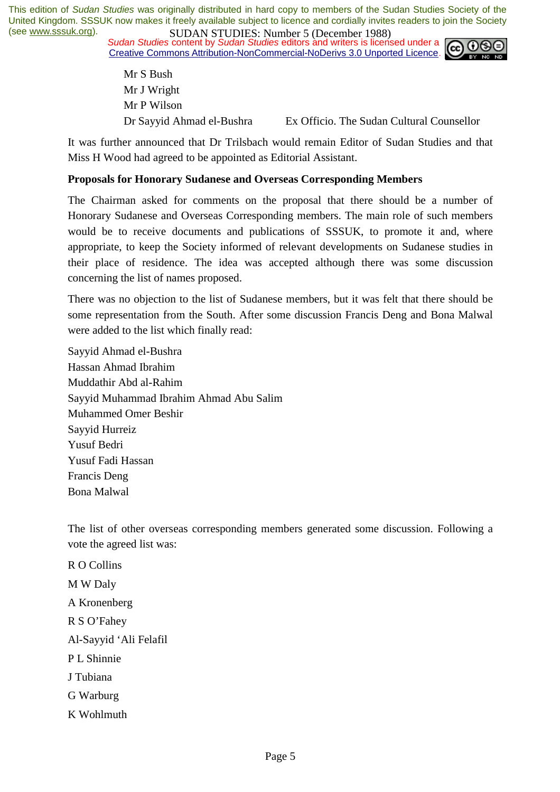*Sudan Studies content by Sudan Studies editors and writers is licensed under a* Creative Commons Attribution-NonCommercial-NoDerivs 3.0 Unported Licence.



Mr S Bush Mr J Wright Mr P Wilson Dr Sayyid Ahmad el-Bushra Ex Officio. The Sudan Cultural Counsellor

It was further announced that Dr Trilsbach would remain Editor of Sudan Studies and that Miss H Wood had agreed to be appointed as Editorial Assistant.

#### **Proposals for Honorary Sudanese and Overseas Corresponding Members**

The Chairman asked for comments on the proposal that there should be a number of Honorary Sudanese and Overseas Corresponding members. The main role of such members would be to receive documents and publications of SSSUK, to promote it and, where appropriate, to keep the Society informed of relevant developments on Sudanese studies in their place of residence. The idea was accepted although there was some discussion concerning the list of names proposed.

There was no objection to the list of Sudanese members, but it was felt that there should be some representation from the South. After some discussion Francis Deng and Bona Malwal were added to the list which finally read:

Sayyid Ahmad el-Bushra Hassan Ahmad Ibrahim Muddathir Abd al-Rahim Sayyid Muhammad Ibrahim Ahmad Abu Salim Muhammed Omer Beshir Sayyid Hurreiz Yusuf Bedri Yusuf Fadi Hassan Francis Deng Bona Malwal

The list of other overseas corresponding members generated some discussion. Following a vote the agreed list was:

R O Collins M W Daly A Kronenberg R S O'Fahey Al-Sayyid 'Ali Felafil P L Shinnie J Tubiana G Warburg K Wohlmuth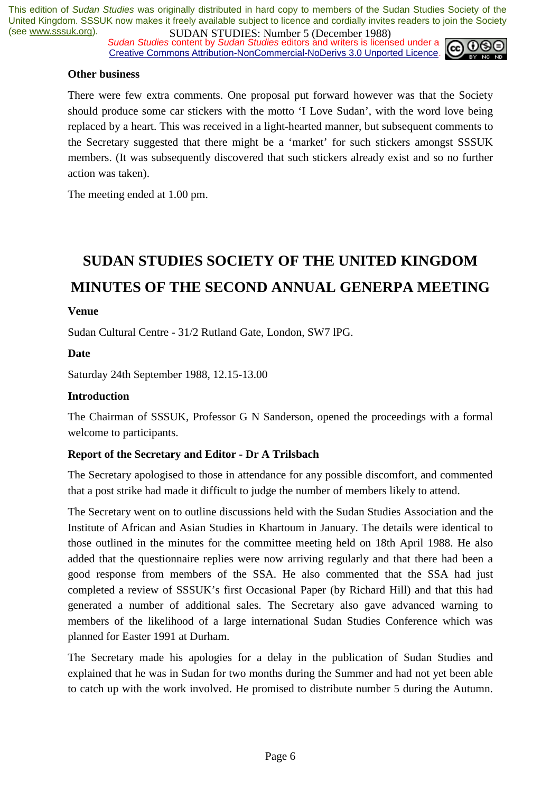*Sudan Studies content by Sudan Studies editors and writers is licensed under a* Creative Commons Attribution-NonCommercial-NoDerivs 3.0 Unported Licence.



#### **Other business**

There were few extra comments. One proposal put forward however was that the Society should produce some car stickers with the motto 'I Love Sudan', with the word love being replaced by a heart. This was received in a light-hearted manner, but subsequent comments to the Secretary suggested that there might be a 'market' for such stickers amongst SSSUK members. (It was subsequently discovered that such stickers already exist and so no further action was taken).

The meeting ended at 1.00 pm.

## **SUDAN STUDIES SOCIETY OF THE UNITED KINGDOM MINUTES OF THE SECOND ANNUAL GENERPA MEETING**

#### **Venue**

Sudan Cultural Centre - 31/2 Rutland Gate, London, SW7 lPG.

#### **Date**

Saturday 24th September 1988, 12.15-13.00

#### **Introduction**

The Chairman of SSSUK, Professor G N Sanderson, opened the proceedings with a formal welcome to participants.

#### **Report of the Secretary and Editor - Dr A Trilsbach**

The Secretary apologised to those in attendance for any possible discomfort, and commented that a post strike had made it difficult to judge the number of members likely to attend.

The Secretary went on to outline discussions held with the Sudan Studies Association and the Institute of African and Asian Studies in Khartoum in January. The details were identical to those outlined in the minutes for the committee meeting held on 18th April 1988. He also added that the questionnaire replies were now arriving regularly and that there had been a good response from members of the SSA. He also commented that the SSA had just completed a review of SSSUK's first Occasional Paper (by Richard Hill) and that this had generated a number of additional sales. The Secretary also gave advanced warning to members of the likelihood of a large international Sudan Studies Conference which was planned for Easter 1991 at Durham.

The Secretary made his apologies for a delay in the publication of Sudan Studies and explained that he was in Sudan for two months during the Summer and had not yet been able to catch up with the work involved. He promised to distribute number 5 during the Autumn.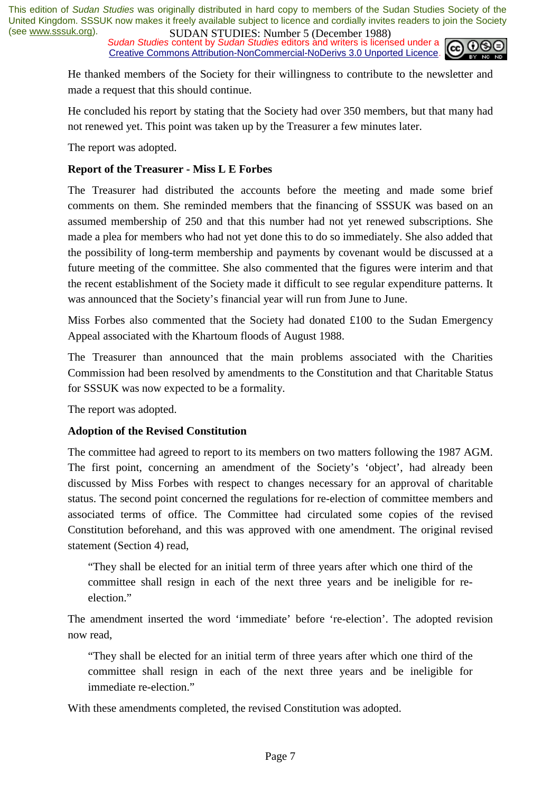*Sudan Studies content by Sudan Studies editors and writers is licensed under a* cc Creative Commons Attribution-NonCommercial-NoDerivs 3.0 Unported Licence.



He thanked members of the Society for their willingness to contribute to the newsletter and made a request that this should continue.

He concluded his report by stating that the Society had over 350 members, but that many had not renewed yet. This point was taken up by the Treasurer a few minutes later.

The report was adopted.

#### **Report of the Treasurer - Miss L E Forbes**

The Treasurer had distributed the accounts before the meeting and made some brief comments on them. She reminded members that the financing of SSSUK was based on an assumed membership of 250 and that this number had not yet renewed subscriptions. She made a plea for members who had not yet done this to do so immediately. She also added that the possibility of long-term membership and payments by covenant would be discussed at a future meeting of the committee. She also commented that the figures were interim and that the recent establishment of the Society made it difficult to see regular expenditure patterns. It was announced that the Society's financial year will run from June to June.

Miss Forbes also commented that the Society had donated £100 to the Sudan Emergency Appeal associated with the Khartoum floods of August 1988.

The Treasurer than announced that the main problems associated with the Charities Commission had been resolved by amendments to the Constitution and that Charitable Status for SSSUK was now expected to be a formality.

The report was adopted.

#### **Adoption of the Revised Constitution**

The committee had agreed to report to its members on two matters following the 1987 AGM. The first point, concerning an amendment of the Society's 'object', had already been discussed by Miss Forbes with respect to changes necessary for an approval of charitable status. The second point concerned the regulations for re-election of committee members and associated terms of office. The Committee had circulated some copies of the revised Constitution beforehand, and this was approved with one amendment. The original revised statement (Section 4) read,

"They shall be elected for an initial term of three years after which one third of the committee shall resign in each of the next three years and be ineligible for reelection."

The amendment inserted the word 'immediate' before 're-election'. The adopted revision now read,

"They shall be elected for an initial term of three years after which one third of the committee shall resign in each of the next three years and be ineligible for immediate re-election."

With these amendments completed, the revised Constitution was adopted.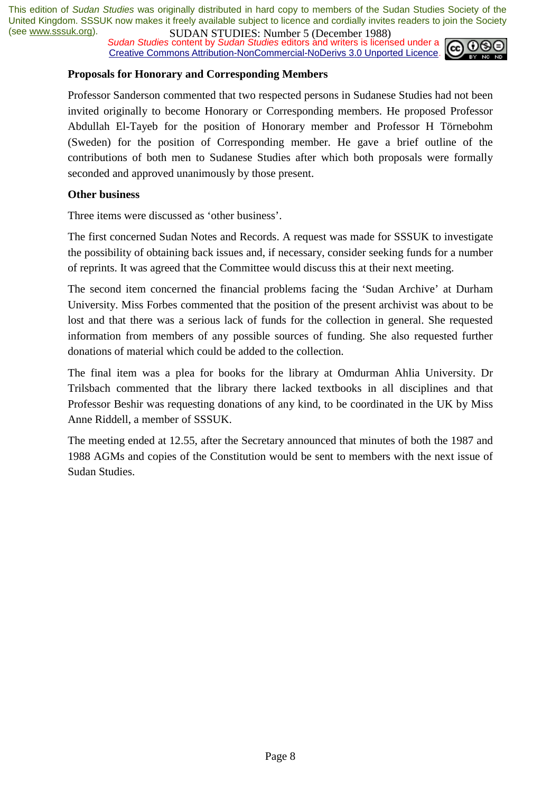*Sudan Studies content by Sudan Studies editors and writers is licensed under a* Creative Commons Attribution-NonCommercial-NoDerivs 3.0 Unported Licence.



#### **Proposals for Honorary and Corresponding Members**

Professor Sanderson commented that two respected persons in Sudanese Studies had not been invited originally to become Honorary or Corresponding members. He proposed Professor Abdullah El-Tayeb for the position of Honorary member and Professor H Törnebohm (Sweden) for the position of Corresponding member. He gave a brief outline of the contributions of both men to Sudanese Studies after which both proposals were formally seconded and approved unanimously by those present.

#### **Other business**

Three items were discussed as 'other business'.

The first concerned Sudan Notes and Records. A request was made for SSSUK to investigate the possibility of obtaining back issues and, if necessary, consider seeking funds for a number of reprints. It was agreed that the Committee would discuss this at their next meeting.

The second item concerned the financial problems facing the 'Sudan Archive' at Durham University. Miss Forbes commented that the position of the present archivist was about to be lost and that there was a serious lack of funds for the collection in general. She requested information from members of any possible sources of funding. She also requested further donations of material which could be added to the collection.

The final item was a plea for books for the library at Omdurman Ahlia University. Dr Trilsbach commented that the library there lacked textbooks in all disciplines and that Professor Beshir was requesting donations of any kind, to be coordinated in the UK by Miss Anne Riddell, a member of SSSUK.

The meeting ended at 12.55, after the Secretary announced that minutes of both the 1987 and 1988 AGMs and copies of the Constitution would be sent to members with the next issue of Sudan Studies.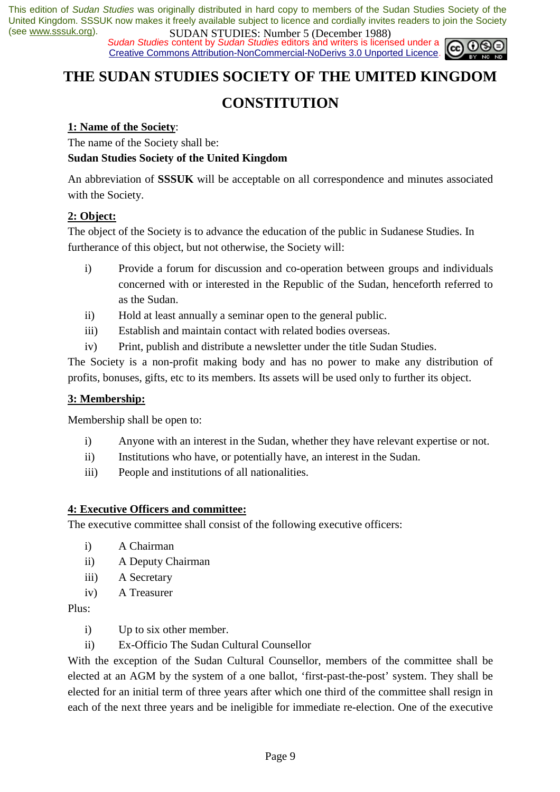*Sudan Studies content by Sudan Studies editors and writers is licensed under a* Creative Commons Attribution-NonCommercial-NoDerivs 3.0 Unported Licence.



### **THE SUDAN STUDIES SOCIETY OF THE UMITED KINGDOM**

### **CONSTITUTION**

#### **1: Name of the Society**:

The name of the Society shall be:

#### **Sudan Studies Society of the United Kingdom**

An abbreviation of **SSSUK** will be acceptable on all correspondence and minutes associated with the Society.

#### **2: Object:**

The object of the Society is to advance the education of the public in Sudanese Studies. In furtherance of this object, but not otherwise, the Society will:

- i) Provide a forum for discussion and co-operation between groups and individuals concerned with or interested in the Republic of the Sudan, henceforth referred to as the Sudan.
- ii) Hold at least annually a seminar open to the general public.
- iii) Establish and maintain contact with related bodies overseas.
- iv) Print, publish and distribute a newsletter under the title Sudan Studies.

The Society is a non-profit making body and has no power to make any distribution of profits, bonuses, gifts, etc to its members. Its assets will be used only to further its object.

#### **3: Membership:**

Membership shall be open to:

- i) Anyone with an interest in the Sudan, whether they have relevant expertise or not.
- ii) Institutions who have, or potentially have, an interest in the Sudan.
- iii) People and institutions of all nationalities.

#### **4: Executive Officers and committee:**

The executive committee shall consist of the following executive officers:

- i) A Chairman
- ii) A Deputy Chairman
- iii) A Secretary
- iv) A Treasurer

Plus:

i) Up to six other member.

ii) Ex-Officio The Sudan Cultural Counsellor

With the exception of the Sudan Cultural Counsellor, members of the committee shall be elected at an AGM by the system of a one ballot, 'first-past-the-post' system. They shall be elected for an initial term of three years after which one third of the committee shall resign in each of the next three years and be ineligible for immediate re-election. One of the executive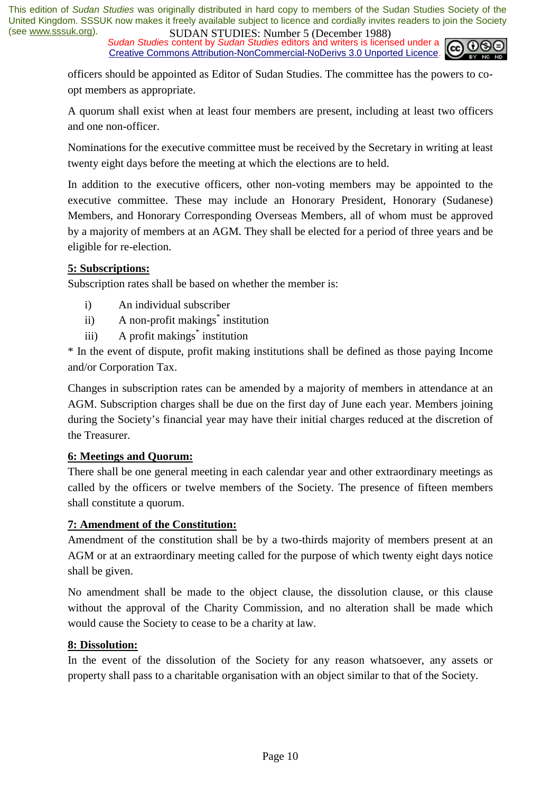*Sudan Studies content by Sudan Studies editors and writers is licensed under a* Creative Commons Attribution-NonCommercial-NoDerivs 3.0 Unported Licence.



officers should be appointed as Editor of Sudan Studies. The committee has the powers to coopt members as appropriate.

A quorum shall exist when at least four members are present, including at least two officers and one non-officer.

Nominations for the executive committee must be received by the Secretary in writing at least twenty eight days before the meeting at which the elections are to held.

In addition to the executive officers, other non-voting members may be appointed to the executive committee. These may include an Honorary President, Honorary (Sudanese) Members, and Honorary Corresponding Overseas Members, all of whom must be approved by a majority of members at an AGM. They shall be elected for a period of three years and be eligible for re-election.

#### **5: Subscriptions:**

Subscription rates shall be based on whether the member is:

- i) An individual subscriber
- ii) A non-profit makings<sup>\*</sup> institution
- iii) A profit makings<sup>\*</sup> institution

\* In the event of dispute, profit making institutions shall be defined as those paying Income and/or Corporation Tax.

Changes in subscription rates can be amended by a majority of members in attendance at an AGM. Subscription charges shall be due on the first day of June each year. Members joining during the Society's financial year may have their initial charges reduced at the discretion of the Treasurer.

#### **6: Meetings and Quorum:**

There shall be one general meeting in each calendar year and other extraordinary meetings as called by the officers or twelve members of the Society. The presence of fifteen members shall constitute a quorum.

#### **7: Amendment of the Constitution:**

Amendment of the constitution shall be by a two-thirds majority of members present at an AGM or at an extraordinary meeting called for the purpose of which twenty eight days notice shall be given.

No amendment shall be made to the object clause, the dissolution clause, or this clause without the approval of the Charity Commission, and no alteration shall be made which would cause the Society to cease to be a charity at law.

#### **8: Dissolution:**

In the event of the dissolution of the Society for any reason whatsoever, any assets or property shall pass to a charitable organisation with an object similar to that of the Society.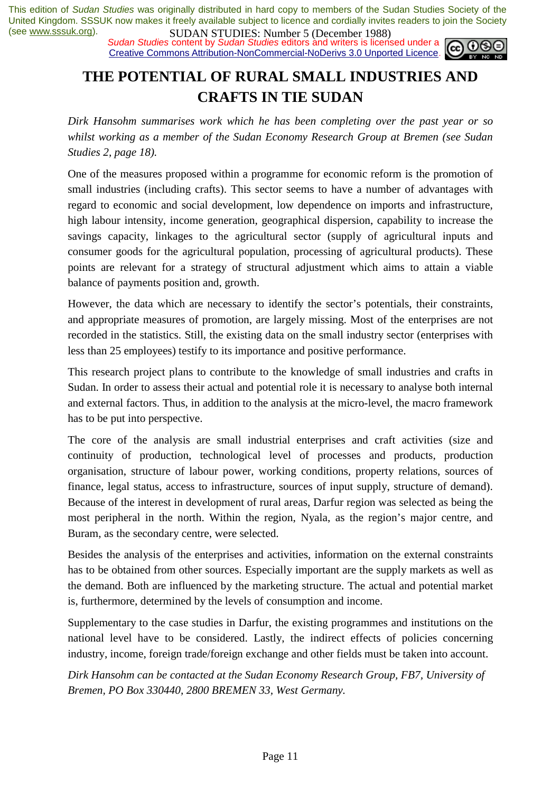*Sudan Studies content by Sudan Studies editors and writers is licensed under a* Creative Commons Attribution-NonCommercial-NoDerivs 3.0 Unported Licence.



## **THE POTENTIAL OF RURAL SMALL INDUSTRIES AND CRAFTS IN TIE SUDAN**

*Dirk Hansohm summarises work which he has been completing over the past year or so whilst working as a member of the Sudan Economy Research Group at Bremen (see Sudan Studies 2, page 18).* 

One of the measures proposed within a programme for economic reform is the promotion of small industries (including crafts). This sector seems to have a number of advantages with regard to economic and social development, low dependence on imports and infrastructure, high labour intensity, income generation, geographical dispersion, capability to increase the savings capacity, linkages to the agricultural sector (supply of agricultural inputs and consumer goods for the agricultural population, processing of agricultural products). These points are relevant for a strategy of structural adjustment which aims to attain a viable balance of payments position and, growth.

However, the data which are necessary to identify the sector's potentials, their constraints, and appropriate measures of promotion, are largely missing. Most of the enterprises are not recorded in the statistics. Still, the existing data on the small industry sector (enterprises with less than 25 employees) testify to its importance and positive performance.

This research project plans to contribute to the knowledge of small industries and crafts in Sudan. In order to assess their actual and potential role it is necessary to analyse both internal and external factors. Thus, in addition to the analysis at the micro-level, the macro framework has to be put into perspective.

The core of the analysis are small industrial enterprises and craft activities (size and continuity of production, technological level of processes and products, production organisation, structure of labour power, working conditions, property relations, sources of finance, legal status, access to infrastructure, sources of input supply, structure of demand). Because of the interest in development of rural areas, Darfur region was selected as being the most peripheral in the north. Within the region, Nyala, as the region's major centre, and Buram, as the secondary centre, were selected.

Besides the analysis of the enterprises and activities, information on the external constraints has to be obtained from other sources. Especially important are the supply markets as well as the demand. Both are influenced by the marketing structure. The actual and potential market is, furthermore, determined by the levels of consumption and income.

Supplementary to the case studies in Darfur, the existing programmes and institutions on the national level have to be considered. Lastly, the indirect effects of policies concerning industry, income, foreign trade/foreign exchange and other fields must be taken into account.

*Dirk Hansohm can be contacted at the Sudan Economy Research Group, FB7, University of Bremen, PO Box 330440, 2800 BREMEN 33, West Germany.*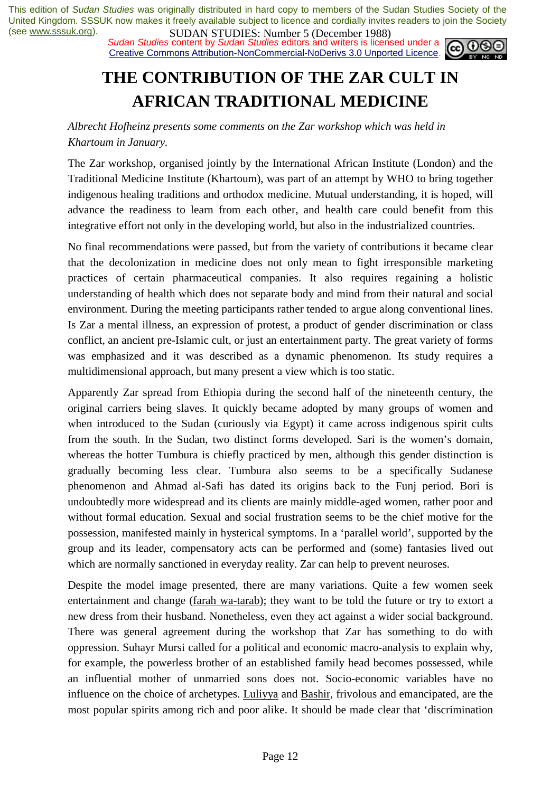*Sudan Studies content by Sudan Studies editors and writers is licensed under a* Creative Commons Attribution-NonCommercial-NoDerivs 3.0 Unported Licence.



## **THE CONTRIBUTION OF THE ZAR CULT IN AFRICAN TRADITIONAL MEDICINE**

*Albrecht Hofheinz presents some comments on the Zar workshop which was held in Khartoum in January.* 

The Zar workshop, organised jointly by the International African Institute (London) and the Traditional Medicine Institute (Khartoum), was part of an attempt by WHO to bring together indigenous healing traditions and orthodox medicine. Mutual understanding, it is hoped, will advance the readiness to learn from each other, and health care could benefit from this integrative effort not only in the developing world, but also in the industrialized countries.

No final recommendations were passed, but from the variety of contributions it became clear that the decolonization in medicine does not only mean to fight irresponsible marketing practices of certain pharmaceutical companies. It also requires regaining a holistic understanding of health which does not separate body and mind from their natural and social environment. During the meeting participants rather tended to argue along conventional lines. Is Zar a mental illness, an expression of protest, a product of gender discrimination or class conflict, an ancient pre-Islamic cult, or just an entertainment party. The great variety of forms was emphasized and it was described as a dynamic phenomenon. Its study requires a multidimensional approach, but many present a view which is too static.

Apparently Zar spread from Ethiopia during the second half of the nineteenth century, the original carriers being slaves. It quickly became adopted by many groups of women and when introduced to the Sudan (curiously via Egypt) it came across indigenous spirit cults from the south. In the Sudan, two distinct forms developed. Sari is the women's domain, whereas the hotter Tumbura is chiefly practiced by men, although this gender distinction is gradually becoming less clear. Tumbura also seems to be a specifically Sudanese phenomenon and Ahmad al-Safi has dated its origins back to the Funj period. Bori is undoubtedly more widespread and its clients are mainly middle-aged women, rather poor and without formal education. Sexual and social frustration seems to be the chief motive for the possession, manifested mainly in hysterical symptoms. In a 'parallel world', supported by the group and its leader, compensatory acts can be performed and (some) fantasies lived out which are normally sanctioned in everyday reality. Zar can help to prevent neuroses.

Despite the model image presented, there are many variations. Quite a few women seek entertainment and change (farah wa-tarab); they want to be told the future or try to extort a new dress from their husband. Nonetheless, even they act against a wider social background. There was general agreement during the workshop that Zar has something to do with oppression. Suhayr Mursi called for a political and economic macro-analysis to explain why, for example, the powerless brother of an established family head becomes possessed, while an influential mother of unmarried sons does not. Socio-economic variables have no influence on the choice of archetypes. Luliyya and Bashir, frivolous and emancipated, are the most popular spirits among rich and poor alike. It should be made clear that 'discrimination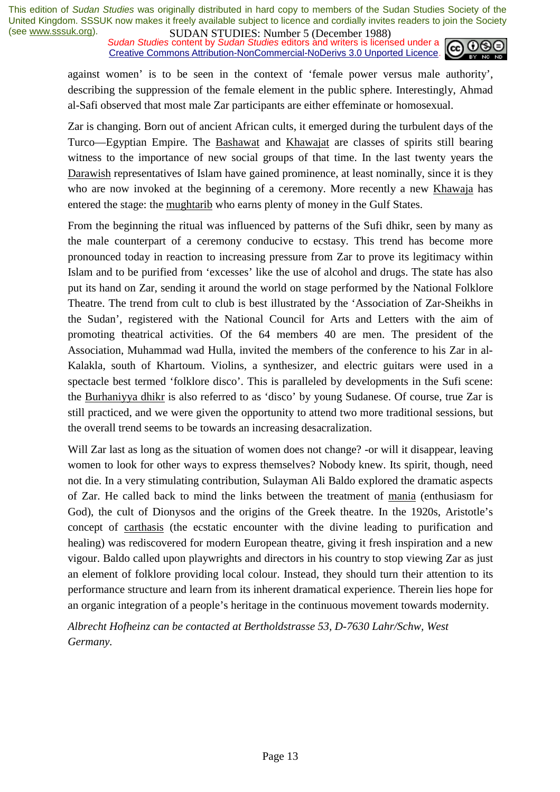*Sudan Studies content by Sudan Studies editors and writers is licensed under a* Creative Commons Attribution-NonCommercial-NoDerivs 3.0 Unported Licence.



against women' is to be seen in the context of 'female power versus male authority', describing the suppression of the female element in the public sphere. Interestingly, Ahmad al-Safi observed that most male Zar participants are either effeminate or homosexual.

Zar is changing. Born out of ancient African cults, it emerged during the turbulent days of the Turco—Egyptian Empire. The Bashawat and Khawajat are classes of spirits still bearing witness to the importance of new social groups of that time. In the last twenty years the Darawish representatives of Islam have gained prominence, at least nominally, since it is they who are now invoked at the beginning of a ceremony. More recently a new Khawaja has entered the stage: the mughtarib who earns plenty of money in the Gulf States.

From the beginning the ritual was influenced by patterns of the Sufi dhikr, seen by many as the male counterpart of a ceremony conducive to ecstasy. This trend has become more pronounced today in reaction to increasing pressure from Zar to prove its legitimacy within Islam and to be purified from 'excesses' like the use of alcohol and drugs. The state has also put its hand on Zar, sending it around the world on stage performed by the National Folklore Theatre. The trend from cult to club is best illustrated by the 'Association of Zar-Sheikhs in the Sudan', registered with the National Council for Arts and Letters with the aim of promoting theatrical activities. Of the 64 members 40 are men. The president of the Association, Muhammad wad Hulla, invited the members of the conference to his Zar in al-Kalakla, south of Khartoum. Violins, a synthesizer, and electric guitars were used in a spectacle best termed 'folklore disco'. This is paralleled by developments in the Sufi scene: the Burhaniyya dhikr is also referred to as 'disco' by young Sudanese. Of course, true Zar is still practiced, and we were given the opportunity to attend two more traditional sessions, but the overall trend seems to be towards an increasing desacralization.

Will Zar last as long as the situation of women does not change? -or will it disappear, leaving women to look for other ways to express themselves? Nobody knew. Its spirit, though, need not die. In a very stimulating contribution, Sulayman Ali Baldo explored the dramatic aspects of Zar. He called back to mind the links between the treatment of mania (enthusiasm for God), the cult of Dionysos and the origins of the Greek theatre. In the 1920s, Aristotle's concept of carthasis (the ecstatic encounter with the divine leading to purification and healing) was rediscovered for modern European theatre, giving it fresh inspiration and a new vigour. Baldo called upon playwrights and directors in his country to stop viewing Zar as just an element of folklore providing local colour. Instead, they should turn their attention to its performance structure and learn from its inherent dramatical experience. Therein lies hope for an organic integration of a people's heritage in the continuous movement towards modernity.

*Albrecht Hofheinz can be contacted at Bertholdstrasse 53, D-7630 Lahr/Schw, West Germany.*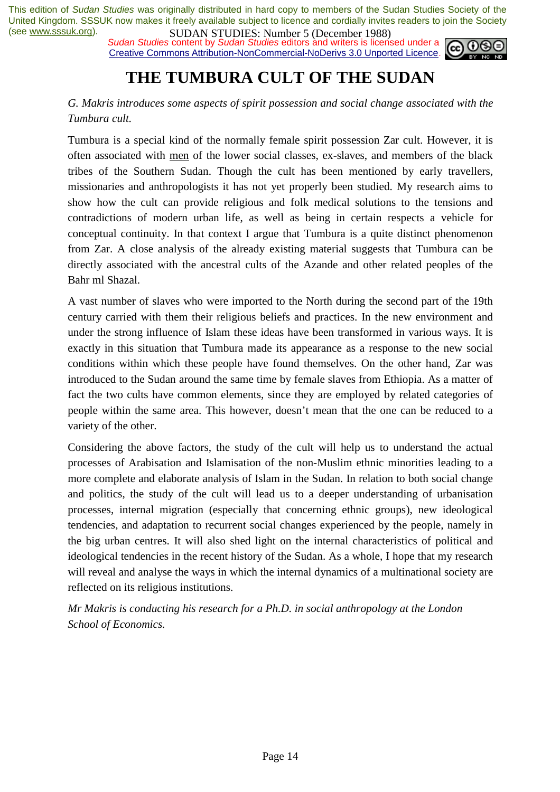*Sudan Studies* content by *Sudan Studies* editors and writers is licensed under a Creative Commons Attribution-NonCommercial-NoDerivs 3.0 Unported Licence.



## **THE TUMBURA CULT OF THE SUDAN**

#### *G. Makris introduces some aspects of spirit possession and social change associated with the Tumbura cult.*

Tumbura is a special kind of the normally female spirit possession Zar cult. However, it is often associated with men of the lower social classes, ex-slaves, and members of the black tribes of the Southern Sudan. Though the cult has been mentioned by early travellers, missionaries and anthropologists it has not yet properly been studied. My research aims to show how the cult can provide religious and folk medical solutions to the tensions and contradictions of modern urban life, as well as being in certain respects a vehicle for conceptual continuity. In that context I argue that Tumbura is a quite distinct phenomenon from Zar. A close analysis of the already existing material suggests that Tumbura can be directly associated with the ancestral cults of the Azande and other related peoples of the Bahr ml Shazal.

A vast number of slaves who were imported to the North during the second part of the 19th century carried with them their religious beliefs and practices. In the new environment and under the strong influence of Islam these ideas have been transformed in various ways. It is exactly in this situation that Tumbura made its appearance as a response to the new social conditions within which these people have found themselves. On the other hand, Zar was introduced to the Sudan around the same time by female slaves from Ethiopia. As a matter of fact the two cults have common elements, since they are employed by related categories of people within the same area. This however, doesn't mean that the one can be reduced to a variety of the other.

Considering the above factors, the study of the cult will help us to understand the actual processes of Arabisation and Islamisation of the non-Muslim ethnic minorities leading to a more complete and elaborate analysis of Islam in the Sudan. In relation to both social change and politics, the study of the cult will lead us to a deeper understanding of urbanisation processes, internal migration (especially that concerning ethnic groups), new ideological tendencies, and adaptation to recurrent social changes experienced by the people, namely in the big urban centres. It will also shed light on the internal characteristics of political and ideological tendencies in the recent history of the Sudan. As a whole, I hope that my research will reveal and analyse the ways in which the internal dynamics of a multinational society are reflected on its religious institutions.

*Mr Makris is conducting his research for a Ph.D. in social anthropology at the London School of Economics.*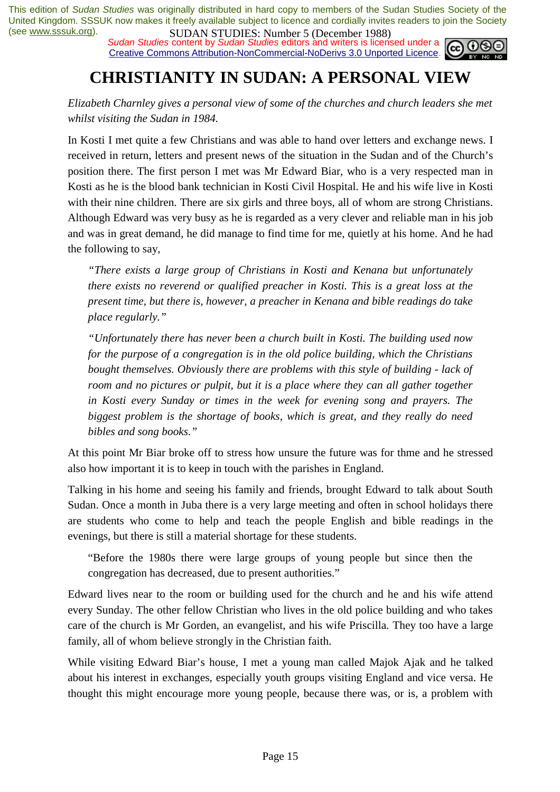*Sudan Studies content by Sudan Studies editors and writers is licensed under a* Creative Commons Attribution-NonCommercial-NoDerivs 3.0 Unported Licence.



## **CHRISTIANITY IN SUDAN: A PERSONAL VIEW**

*Elizabeth Charnley gives a personal view of some of the churches and church leaders she met whilst visiting the Sudan in 1984.* 

In Kosti I met quite a few Christians and was able to hand over letters and exchange news. I received in return, letters and present news of the situation in the Sudan and of the Church's position there. The first person I met was Mr Edward Biar, who is a very respected man in Kosti as he is the blood bank technician in Kosti Civil Hospital. He and his wife live in Kosti with their nine children. There are six girls and three boys, all of whom are strong Christians. Although Edward was very busy as he is regarded as a very clever and reliable man in his job and was in great demand, he did manage to find time for me, quietly at his home. And he had the following to say,

*"There exists a large group of Christians in Kosti and Kenana but unfortunately there exists no reverend or qualified preacher in Kosti. This is a great loss at the present time, but there is, however, a preacher in Kenana and bible readings do take place regularly."* 

*"Unfortunately there has never been a church built in Kosti. The building used now for the purpose of a congregation is in the old police building, which the Christians bought themselves. Obviously there are problems with this style of building - lack of room and no pictures or pulpit, but it is a place where they can all gather together in Kosti every Sunday or times in the week for evening song and prayers. The biggest problem is the shortage of books, which is great, and they really do need bibles and song books."* 

At this point Mr Biar broke off to stress how unsure the future was for thme and he stressed also how important it is to keep in touch with the parishes in England.

Talking in his home and seeing his family and friends, brought Edward to talk about South Sudan. Once a month in Juba there is a very large meeting and often in school holidays there are students who come to help and teach the people English and bible readings in the evenings, but there is still a material shortage for these students.

"Before the 1980s there were large groups of young people but since then the congregation has decreased, due to present authorities."

Edward lives near to the room or building used for the church and he and his wife attend every Sunday. The other fellow Christian who lives in the old police building and who takes care of the church is Mr Gorden, an evangelist, and his wife Priscilla. They too have a large family, all of whom believe strongly in the Christian faith.

While visiting Edward Biar's house, I met a young man called Majok Ajak and he talked about his interest in exchanges, especially youth groups visiting England and vice versa. He thought this might encourage more young people, because there was, or is, a problem with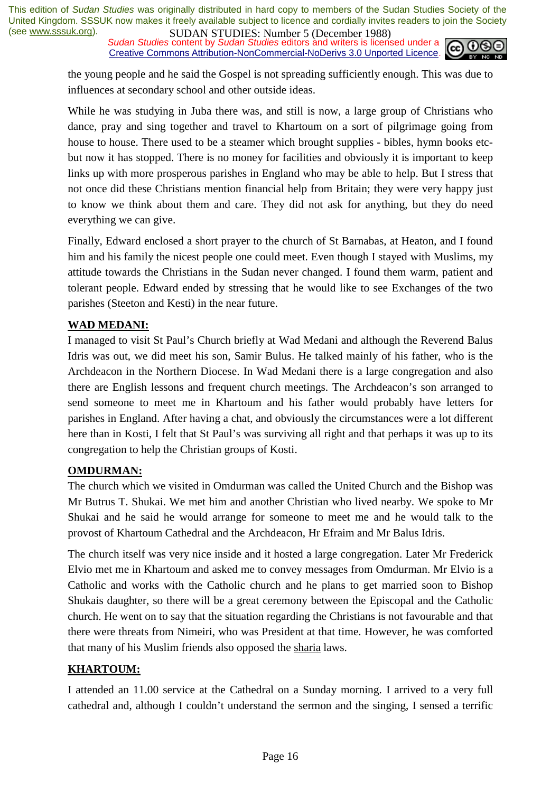*Sudan Studies content by Sudan Studies editors and writers is licensed under a* Creative Commons Attribution-NonCommercial-NoDerivs 3.0 Unported Licence.



the young people and he said the Gospel is not spreading sufficiently enough. This was due to influences at secondary school and other outside ideas.

While he was studying in Juba there was, and still is now, a large group of Christians who dance, pray and sing together and travel to Khartoum on a sort of pilgrimage going from house to house. There used to be a steamer which brought supplies - bibles, hymn books etcbut now it has stopped. There is no money for facilities and obviously it is important to keep links up with more prosperous parishes in England who may be able to help. But I stress that not once did these Christians mention financial help from Britain; they were very happy just to know we think about them and care. They did not ask for anything, but they do need everything we can give.

Finally, Edward enclosed a short prayer to the church of St Barnabas, at Heaton, and I found him and his family the nicest people one could meet. Even though I stayed with Muslims, my attitude towards the Christians in the Sudan never changed. I found them warm, patient and tolerant people. Edward ended by stressing that he would like to see Exchanges of the two parishes (Steeton and Kesti) in the near future.

#### **WAD MEDANI:**

I managed to visit St Paul's Church briefly at Wad Medani and although the Reverend Balus Idris was out, we did meet his son, Samir Bulus. He talked mainly of his father, who is the Archdeacon in the Northern Diocese. In Wad Medani there is a large congregation and also there are English lessons and frequent church meetings. The Archdeacon's son arranged to send someone to meet me in Khartoum and his father would probably have letters for parishes in England. After having a chat, and obviously the circumstances were a lot different here than in Kosti, I felt that St Paul's was surviving all right and that perhaps it was up to its congregation to help the Christian groups of Kosti.

#### **OMDURMAN:**

The church which we visited in Omdurman was called the United Church and the Bishop was Mr Butrus T. Shukai. We met him and another Christian who lived nearby. We spoke to Mr Shukai and he said he would arrange for someone to meet me and he would talk to the provost of Khartoum Cathedral and the Archdeacon, Hr Efraim and Mr Balus Idris.

The church itself was very nice inside and it hosted a large congregation. Later Mr Frederick Elvio met me in Khartoum and asked me to convey messages from Omdurman. Mr Elvio is a Catholic and works with the Catholic church and he plans to get married soon to Bishop Shukais daughter, so there will be a great ceremony between the Episcopal and the Catholic church. He went on to say that the situation regarding the Christians is not favourable and that there were threats from Nimeiri, who was President at that time. However, he was comforted that many of his Muslim friends also opposed the sharia laws.

#### **KHARTOUM:**

I attended an 11.00 service at the Cathedral on a Sunday morning. I arrived to a very full cathedral and, although I couldn't understand the sermon and the singing, I sensed a terrific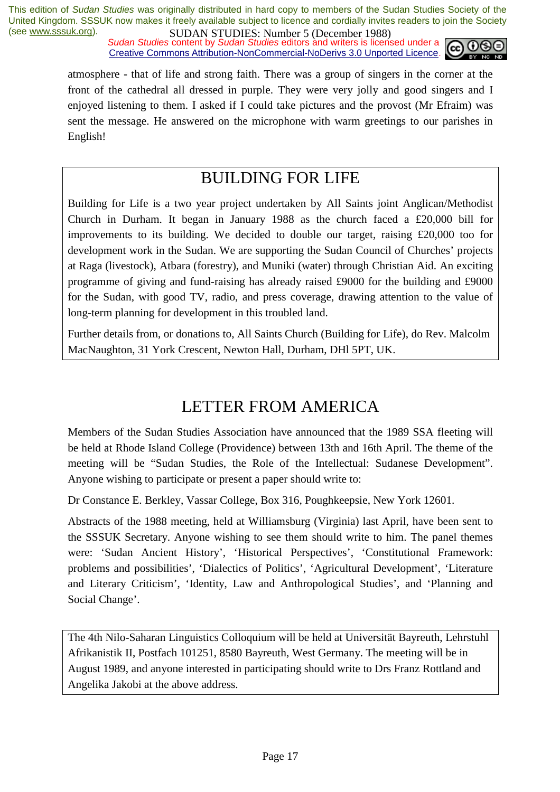*Sudan Studies content by Sudan Studies editors and writers is licensed under a* Creative Commons Attribution-NonCommercial-NoDerivs 3.0 Unported Licence.



atmosphere - that of life and strong faith. There was a group of singers in the corner at the front of the cathedral all dressed in purple. They were very jolly and good singers and I enjoyed listening to them. I asked if I could take pictures and the provost (Mr Efraim) was sent the message. He answered on the microphone with warm greetings to our parishes in English!

## BUILDING FOR LIFE

Building for Life is a two year project undertaken by All Saints joint Anglican/Methodist Church in Durham. It began in January 1988 as the church faced a £20,000 bill for improvements to its building. We decided to double our target, raising £20,000 too for development work in the Sudan. We are supporting the Sudan Council of Churches' projects at Raga (livestock), Atbara (forestry), and Muniki (water) through Christian Aid. An exciting programme of giving and fund-raising has already raised £9000 for the building and £9000 for the Sudan, with good TV, radio, and press coverage, drawing attention to the value of long-term planning for development in this troubled land.

Further details from, or donations to, All Saints Church (Building for Life), do Rev. Malcolm MacNaughton, 31 York Crescent, Newton Hall, Durham, DHl 5PT, UK.

## LETTER FROM AMERICA

Members of the Sudan Studies Association have announced that the 1989 SSA fleeting will be held at Rhode Island College (Providence) between 13th and 16th April. The theme of the meeting will be "Sudan Studies, the Role of the Intellectual: Sudanese Development". Anyone wishing to participate or present a paper should write to:

Dr Constance E. Berkley, Vassar College, Box 316, Poughkeepsie, New York 12601.

Abstracts of the 1988 meeting, held at Williamsburg (Virginia) last April, have been sent to the SSSUK Secretary. Anyone wishing to see them should write to him. The panel themes were: 'Sudan Ancient History', 'Historical Perspectives', 'Constitutional Framework: problems and possibilities', 'Dialectics of Politics', 'Agricultural Development', 'Literature and Literary Criticism', 'Identity, Law and Anthropological Studies', and 'Planning and Social Change'.

The 4th Nilo-Saharan Linguistics Colloquium will be held at Universität Bayreuth, Lehrstuhl Afrikanistik II, Postfach 101251, 8580 Bayreuth, West Germany. The meeting will be in August 1989, and anyone interested in participating should write to Drs Franz Rottland and Angelika Jakobi at the above address.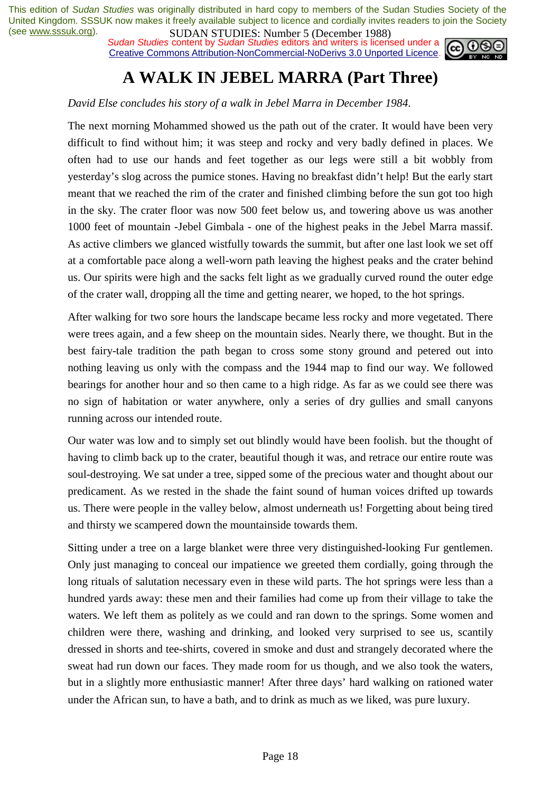*Sudan Studies content by Sudan Studies editors and writers is licensed under a* Creative Commons Attribution-NonCommercial-NoDerivs 3.0 Unported Licence.



## **A WALK IN JEBEL MARRA (Part Three)**

#### *David Else concludes his story of a walk in Jebel Marra in December 1984*.

The next morning Mohammed showed us the path out of the crater. It would have been very difficult to find without him; it was steep and rocky and very badly defined in places. We often had to use our hands and feet together as our legs were still a bit wobbly from yesterday's slog across the pumice stones. Having no breakfast didn't help! But the early start meant that we reached the rim of the crater and finished climbing before the sun got too high in the sky. The crater floor was now 500 feet below us, and towering above us was another 1000 feet of mountain -Jebel Gimbala - one of the highest peaks in the Jebel Marra massif. As active climbers we glanced wistfully towards the summit, but after one last look we set off at a comfortable pace along a well-worn path leaving the highest peaks and the crater behind us. Our spirits were high and the sacks felt light as we gradually curved round the outer edge of the crater wall, dropping all the time and getting nearer, we hoped, to the hot springs.

After walking for two sore hours the landscape became less rocky and more vegetated. There were trees again, and a few sheep on the mountain sides. Nearly there, we thought. But in the best fairy-tale tradition the path began to cross some stony ground and petered out into nothing leaving us only with the compass and the 1944 map to find our way. We followed bearings for another hour and so then came to a high ridge. As far as we could see there was no sign of habitation or water anywhere, only a series of dry gullies and small canyons running across our intended route.

Our water was low and to simply set out blindly would have been foolish. but the thought of having to climb back up to the crater, beautiful though it was, and retrace our entire route was soul-destroying. We sat under a tree, sipped some of the precious water and thought about our predicament. As we rested in the shade the faint sound of human voices drifted up towards us. There were people in the valley below, almost underneath us! Forgetting about being tired and thirsty we scampered down the mountainside towards them.

Sitting under a tree on a large blanket were three very distinguished-looking Fur gentlemen. Only just managing to conceal our impatience we greeted them cordially, going through the long rituals of salutation necessary even in these wild parts. The hot springs were less than a hundred yards away: these men and their families had come up from their village to take the waters. We left them as politely as we could and ran down to the springs. Some women and children were there, washing and drinking, and looked very surprised to see us, scantily dressed in shorts and tee-shirts, covered in smoke and dust and strangely decorated where the sweat had run down our faces. They made room for us though, and we also took the waters, but in a slightly more enthusiastic manner! After three days' hard walking on rationed water under the African sun, to have a bath, and to drink as much as we liked, was pure luxury.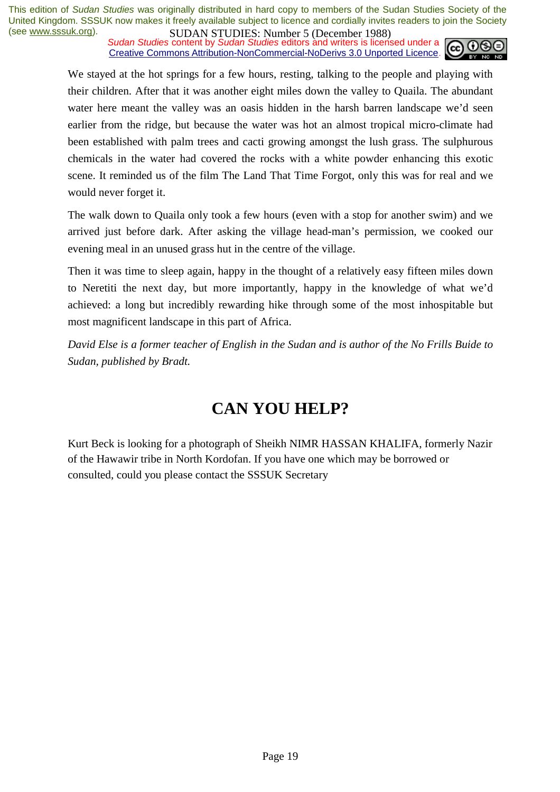*Sudan Studies content by Sudan Studies editors and writers is licensed under a* Creative Commons Attribution-NonCommercial-NoDerivs 3.0 Unported Licence.



We stayed at the hot springs for a few hours, resting, talking to the people and playing with their children. After that it was another eight miles down the valley to Quaila. The abundant water here meant the valley was an oasis hidden in the harsh barren landscape we'd seen earlier from the ridge, but because the water was hot an almost tropical micro-climate had been established with palm trees and cacti growing amongst the lush grass. The sulphurous chemicals in the water had covered the rocks with a white powder enhancing this exotic scene. It reminded us of the film The Land That Time Forgot, only this was for real and we would never forget it.

The walk down to Quaila only took a few hours (even with a stop for another swim) and we arrived just before dark. After asking the village head-man's permission, we cooked our evening meal in an unused grass hut in the centre of the village.

Then it was time to sleep again, happy in the thought of a relatively easy fifteen miles down to Neretiti the next day, but more importantly, happy in the knowledge of what we'd achieved: a long but incredibly rewarding hike through some of the most inhospitable but most magnificent landscape in this part of Africa.

*David Else is a former teacher of English in the Sudan and is author of the No Frills Buide to Sudan, published by Bradt.* 

## **CAN YOU HELP?**

Kurt Beck is looking for a photograph of Sheikh NIMR HASSAN KHALIFA, formerly Nazir of the Hawawir tribe in North Kordofan. If you have one which may be borrowed or consulted, could you please contact the SSSUK Secretary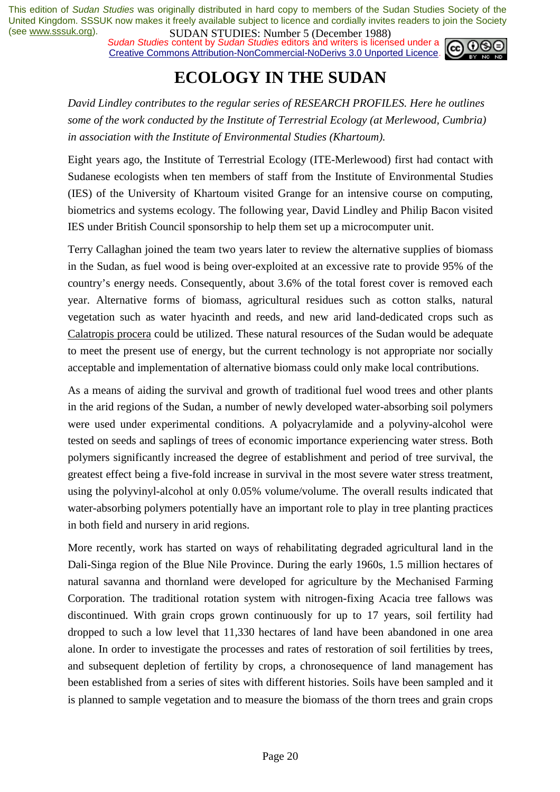*Sudan Studies content by Sudan Studies editors and writers is licensed under a* Creative Commons Attribution-NonCommercial-NoDerivs 3.0 Unported Licence.



## **ECOLOGY IN THE SUDAN**

*David Lindley contributes to the regular series of RESEARCH PROFILES. Here he outlines some of the work conducted by the Institute of Terrestrial Ecology (at Merlewood, Cumbria) in association with the Institute of Environmental Studies (Khartoum).* 

Eight years ago, the Institute of Terrestrial Ecology (ITE-Merlewood) first had contact with Sudanese ecologists when ten members of staff from the Institute of Environmental Studies (IES) of the University of Khartoum visited Grange for an intensive course on computing, biometrics and systems ecology. The following year, David Lindley and Philip Bacon visited IES under British Council sponsorship to help them set up a microcomputer unit.

Terry Callaghan joined the team two years later to review the alternative supplies of biomass in the Sudan, as fuel wood is being over-exploited at an excessive rate to provide 95% of the country's energy needs. Consequently, about 3.6% of the total forest cover is removed each year. Alternative forms of biomass, agricultural residues such as cotton stalks, natural vegetation such as water hyacinth and reeds, and new arid land-dedicated crops such as Calatropis procera could be utilized. These natural resources of the Sudan would be adequate to meet the present use of energy, but the current technology is not appropriate nor socially acceptable and implementation of alternative biomass could only make local contributions.

As a means of aiding the survival and growth of traditional fuel wood trees and other plants in the arid regions of the Sudan, a number of newly developed water-absorbing soil polymers were used under experimental conditions. A polyacrylamide and a polyviny-alcohol were tested on seeds and saplings of trees of economic importance experiencing water stress. Both polymers significantly increased the degree of establishment and period of tree survival, the greatest effect being a five-fold increase in survival in the most severe water stress treatment, using the polyvinyl-alcohol at only 0.05% volume/volume. The overall results indicated that water-absorbing polymers potentially have an important role to play in tree planting practices in both field and nursery in arid regions.

More recently, work has started on ways of rehabilitating degraded agricultural land in the Dali-Singa region of the Blue Nile Province. During the early 1960s, 1.5 million hectares of natural savanna and thornland were developed for agriculture by the Mechanised Farming Corporation. The traditional rotation system with nitrogen-fixing Acacia tree fallows was discontinued. With grain crops grown continuously for up to 17 years, soil fertility had dropped to such a low level that 11,330 hectares of land have been abandoned in one area alone. In order to investigate the processes and rates of restoration of soil fertilities by trees, and subsequent depletion of fertility by crops, a chronosequence of land management has been established from a series of sites with different histories. Soils have been sampled and it is planned to sample vegetation and to measure the biomass of the thorn trees and grain crops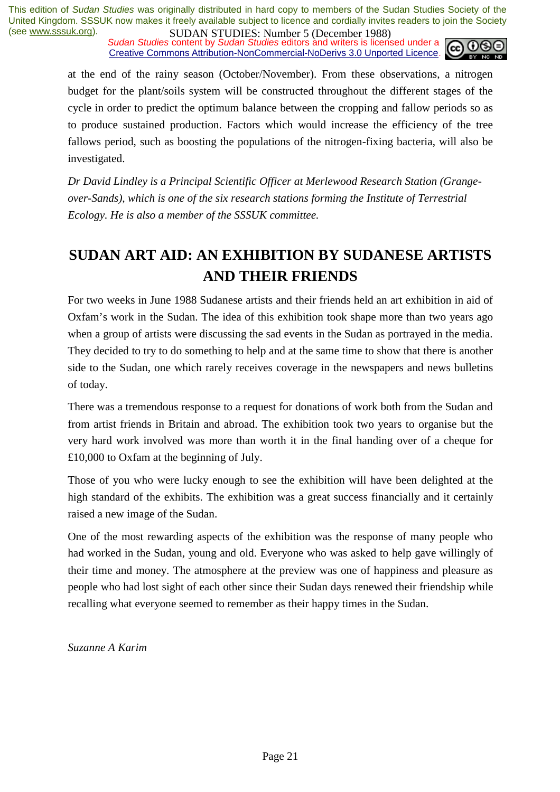*Sudan Studies content by Sudan Studies editors and writers is licensed under a* Creative Commons Attribution-NonCommercial-NoDerivs 3.0 Unported Licence.



at the end of the rainy season (October/November). From these observations, a nitrogen budget for the plant/soils system will be constructed throughout the different stages of the cycle in order to predict the optimum balance between the cropping and fallow periods so as to produce sustained production. Factors which would increase the efficiency of the tree fallows period, such as boosting the populations of the nitrogen-fixing bacteria, will also be investigated.

*Dr David Lindley is a Principal Scientific Officer at Merlewood Research Station (Grangeover-Sands), which is one of the six research stations forming the Institute of Terrestrial Ecology. He is also a member of the SSSUK committee.* 

## **SUDAN ART AID: AN EXHIBITION BY SUDANESE ARTISTS AND THEIR FRIENDS**

For two weeks in June 1988 Sudanese artists and their friends held an art exhibition in aid of Oxfam's work in the Sudan. The idea of this exhibition took shape more than two years ago when a group of artists were discussing the sad events in the Sudan as portrayed in the media. They decided to try to do something to help and at the same time to show that there is another side to the Sudan, one which rarely receives coverage in the newspapers and news bulletins of today.

There was a tremendous response to a request for donations of work both from the Sudan and from artist friends in Britain and abroad. The exhibition took two years to organise but the very hard work involved was more than worth it in the final handing over of a cheque for £10,000 to Oxfam at the beginning of July.

Those of you who were lucky enough to see the exhibition will have been delighted at the high standard of the exhibits. The exhibition was a great success financially and it certainly raised a new image of the Sudan.

One of the most rewarding aspects of the exhibition was the response of many people who had worked in the Sudan, young and old. Everyone who was asked to help gave willingly of their time and money. The atmosphere at the preview was one of happiness and pleasure as people who had lost sight of each other since their Sudan days renewed their friendship while recalling what everyone seemed to remember as their happy times in the Sudan.

*Suzanne A Karim*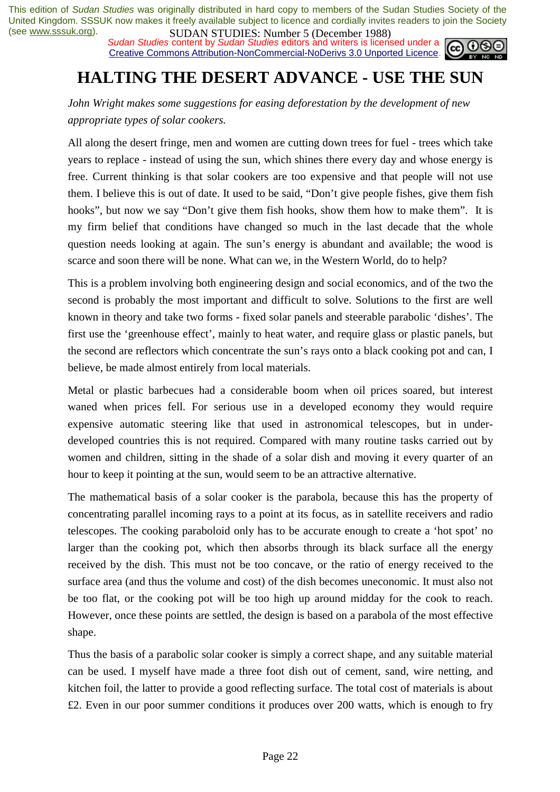**SUDAN STUDIES:** NUTTUP J (December 1700)<br>Sudan Studies content by Sudan Studies editors and writers is licensed under a Creative Commons Attribution-NonCommercial-NoDerivs 3.0 Unported Licence.



## **HALTING THE DESERT ADVANCE - USE THE SUN**

*John Wright makes some suggestions for easing deforestation by the development of new appropriate types of solar cookers.* 

All along the desert fringe, men and women are cutting down trees for fuel - trees which take years to replace - instead of using the sun, which shines there every day and whose energy is free. Current thinking is that solar cookers are too expensive and that people will not use them. I believe this is out of date. It used to be said, "Don't give people fishes, give them fish hooks", but now we say "Don't give them fish hooks, show them how to make them". It is my firm belief that conditions have changed so much in the last decade that the whole question needs looking at again. The sun's energy is abundant and available; the wood is scarce and soon there will be none. What can we, in the Western World, do to help?

This is a problem involving both engineering design and social economics, and of the two the second is probably the most important and difficult to solve. Solutions to the first are well known in theory and take two forms - fixed solar panels and steerable parabolic 'dishes'. The first use the 'greenhouse effect', mainly to heat water, and require glass or plastic panels, but the second are reflectors which concentrate the sun's rays onto a black cooking pot and can, I believe, be made almost entirely from local materials.

Metal or plastic barbecues had a considerable boom when oil prices soared, but interest waned when prices fell. For serious use in a developed economy they would require expensive automatic steering like that used in astronomical telescopes, but in underdeveloped countries this is not required. Compared with many routine tasks carried out by women and children, sitting in the shade of a solar dish and moving it every quarter of an hour to keep it pointing at the sun, would seem to be an attractive alternative.

The mathematical basis of a solar cooker is the parabola, because this has the property of concentrating parallel incoming rays to a point at its focus, as in satellite receivers and radio telescopes. The cooking paraboloid only has to be accurate enough to create a 'hot spot' no larger than the cooking pot, which then absorbs through its black surface all the energy received by the dish. This must not be too concave, or the ratio of energy received to the surface area (and thus the volume and cost) of the dish becomes uneconomic. It must also not be too flat, or the cooking pot will be too high up around midday for the cook to reach. However, once these points are settled, the design is based on a parabola of the most effective shape.

Thus the basis of a parabolic solar cooker is simply a correct shape, and any suitable material can be used. I myself have made a three foot dish out of cement, sand, wire netting, and kitchen foil, the latter to provide a good reflecting surface. The total cost of materials is about £2. Even in our poor summer conditions it produces over 200 watts, which is enough to fry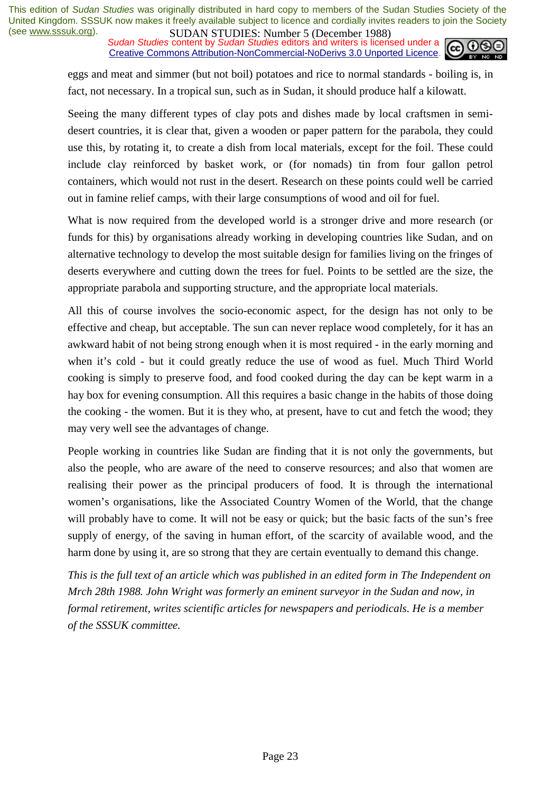*Sudan Studies content by Sudan Studies editors and writers is licensed under a* Creative Commons Attribution-NonCommercial-NoDerivs 3.0 Unported Licence.



eggs and meat and simmer (but not boil) potatoes and rice to normal standards - boiling is, in fact, not necessary. In a tropical sun, such as in Sudan, it should produce half a kilowatt.

Seeing the many different types of clay pots and dishes made by local craftsmen in semidesert countries, it is clear that, given a wooden or paper pattern for the parabola, they could use this, by rotating it, to create a dish from local materials, except for the foil. These could include clay reinforced by basket work, or (for nomads) tin from four gallon petrol containers, which would not rust in the desert. Research on these points could well be carried out in famine relief camps, with their large consumptions of wood and oil for fuel.

What is now required from the developed world is a stronger drive and more research (or funds for this) by organisations already working in developing countries like Sudan, and on alternative technology to develop the most suitable design for families living on the fringes of deserts everywhere and cutting down the trees for fuel. Points to be settled are the size, the appropriate parabola and supporting structure, and the appropriate local materials.

All this of course involves the socio-economic aspect, for the design has not only to be effective and cheap, but acceptable. The sun can never replace wood completely, for it has an awkward habit of not being strong enough when it is most required - in the early morning and when it's cold - but it could greatly reduce the use of wood as fuel. Much Third World cooking is simply to preserve food, and food cooked during the day can be kept warm in a hay box for evening consumption. All this requires a basic change in the habits of those doing the cooking - the women. But it is they who, at present, have to cut and fetch the wood; they may very well see the advantages of change.

People working in countries like Sudan are finding that it is not only the governments, but also the people, who are aware of the need to conserve resources; and also that women are realising their power as the principal producers of food. It is through the international women's organisations, like the Associated Country Women of the World, that the change will probably have to come. It will not be easy or quick; but the basic facts of the sun's free supply of energy, of the saving in human effort, of the scarcity of available wood, and the harm done by using it, are so strong that they are certain eventually to demand this change.

*This is the full text of an article which was published in an edited form in The Independent on Mrch 28th 1988. John Wright was formerly an eminent surveyor in the Sudan and now, in formal retirement, writes scientific articles for newspapers and periodicals. He is a member of the SSSUK committee.*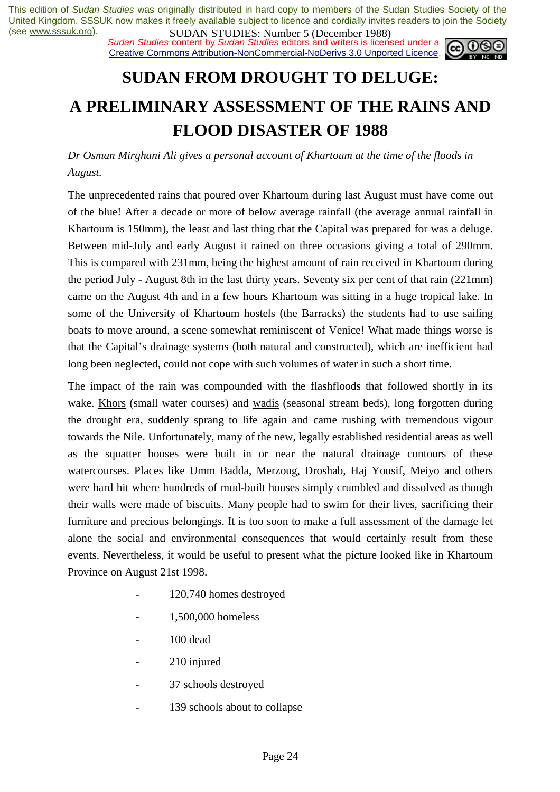*Sudan Studies content by Sudan Studies editors and writers is licensed under a* Creative Commons Attribution-NonCommercial-NoDerivs 3.0 Unported Licence.



## **SUDAN FROM DROUGHT TO DELUGE: A PRELIMINARY ASSESSMENT OF THE RAINS AND FLOOD DISASTER OF 1988**

*Dr Osman Mirghani Ali gives a personal account of Khartoum at the time of the floods in August.* 

The unprecedented rains that poured over Khartoum during last August must have come out of the blue! After a decade or more of below average rainfall (the average annual rainfall in Khartoum is 150mm), the least and last thing that the Capital was prepared for was a deluge. Between mid-July and early August it rained on three occasions giving a total of 290mm. This is compared with 231mm, being the highest amount of rain received in Khartoum during the period July - August 8th in the last thirty years. Seventy six per cent of that rain (221mm) came on the August 4th and in a few hours Khartoum was sitting in a huge tropical lake. In some of the University of Khartoum hostels (the Barracks) the students had to use sailing boats to move around, a scene somewhat reminiscent of Venice! What made things worse is that the Capital's drainage systems (both natural and constructed), which are inefficient had long been neglected, could not cope with such volumes of water in such a short time.

The impact of the rain was compounded with the flashfloods that followed shortly in its wake. Khors (small water courses) and wadis (seasonal stream beds), long forgotten during the drought era, suddenly sprang to life again and came rushing with tremendous vigour towards the Nile. Unfortunately, many of the new, legally established residential areas as well as the squatter houses were built in or near the natural drainage contours of these watercourses. Places like Umm Badda, Merzoug, Droshab, Haj Yousif, Meiyo and others were hard hit where hundreds of mud-built houses simply crumbled and dissolved as though their walls were made of biscuits. Many people had to swim for their lives, sacrificing their furniture and precious belongings. It is too soon to make a full assessment of the damage let alone the social and environmental consequences that would certainly result from these events. Nevertheless, it would be useful to present what the picture looked like in Khartoum Province on August 21st 1998.

- 120,740 homes destroyed
- 1,500,000 homeless
- 100 dead
- 210 injured
- 37 schools destroyed
- 139 schools about to collapse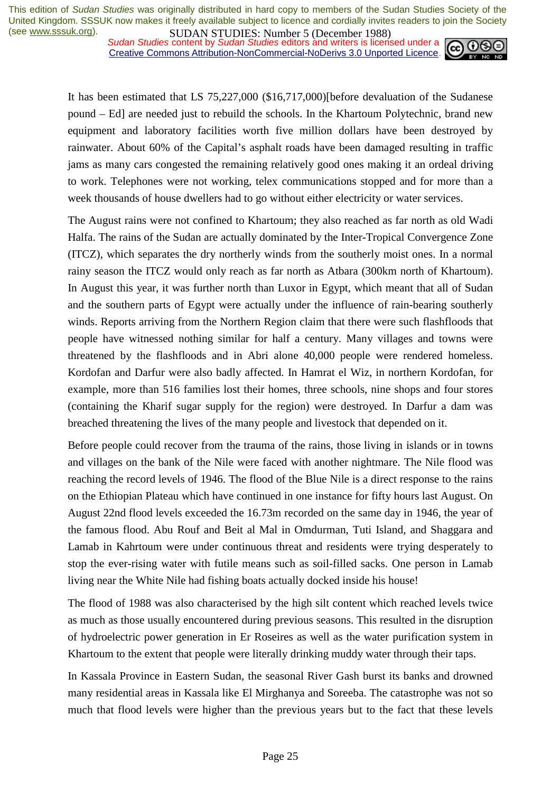*Sudan Studies content by Sudan Studies editors and writers is licensed under a* Creative Commons Attribution-NonCommercial-NoDerivs 3.0 Unported Licence.



It has been estimated that LS 75,227,000 (\$16,717,000)[before devaluation of the Sudanese pound – Ed] are needed just to rebuild the schools. In the Khartoum Polytechnic, brand new equipment and laboratory facilities worth five million dollars have been destroyed by rainwater. About 60% of the Capital's asphalt roads have been damaged resulting in traffic jams as many cars congested the remaining relatively good ones making it an ordeal driving to work. Telephones were not working, telex communications stopped and for more than a week thousands of house dwellers had to go without either electricity or water services.

The August rains were not confined to Khartoum; they also reached as far north as old Wadi Halfa. The rains of the Sudan are actually dominated by the Inter-Tropical Convergence Zone (ITCZ), which separates the dry northerly winds from the southerly moist ones. In a normal rainy season the ITCZ would only reach as far north as Atbara (300km north of Khartoum). In August this year, it was further north than Luxor in Egypt, which meant that all of Sudan and the southern parts of Egypt were actually under the influence of rain-bearing southerly winds. Reports arriving from the Northern Region claim that there were such flashfloods that people have witnessed nothing similar for half a century. Many villages and towns were threatened by the flashfloods and in Abri alone 40,000 people were rendered homeless. Kordofan and Darfur were also badly affected. In Hamrat el Wiz, in northern Kordofan, for example, more than 516 families lost their homes, three schools, nine shops and four stores (containing the Kharif sugar supply for the region) were destroyed. In Darfur a dam was breached threatening the lives of the many people and livestock that depended on it.

Before people could recover from the trauma of the rains, those living in islands or in towns and villages on the bank of the Nile were faced with another nightmare. The Nile flood was reaching the record levels of 1946. The flood of the Blue Nile is a direct response to the rains on the Ethiopian Plateau which have continued in one instance for fifty hours last August. On August 22nd flood levels exceeded the 16.73m recorded on the same day in 1946, the year of the famous flood. Abu Rouf and Beit al Mal in Omdurman, Tuti Island, and Shaggara and Lamab in Kahrtoum were under continuous threat and residents were trying desperately to stop the ever-rising water with futile means such as soil-filled sacks. One person in Lamab living near the White Nile had fishing boats actually docked inside his house!

The flood of 1988 was also characterised by the high silt content which reached levels twice as much as those usually encountered during previous seasons. This resulted in the disruption of hydroelectric power generation in Er Roseires as well as the water purification system in Khartoum to the extent that people were literally drinking muddy water through their taps.

In Kassala Province in Eastern Sudan, the seasonal River Gash burst its banks and drowned many residential areas in Kassala like El Mirghanya and Soreeba. The catastrophe was not so much that flood levels were higher than the previous years but to the fact that these levels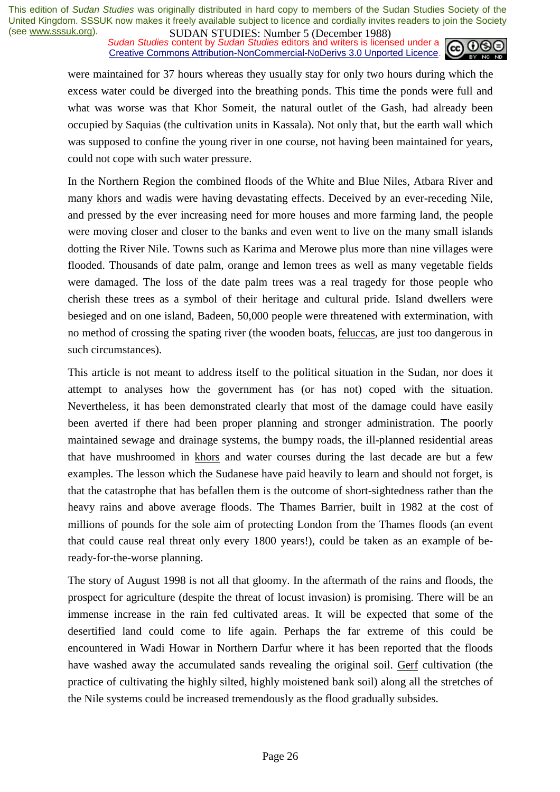**SUDAN STUDIES:** NUTTUP J (December 1700)<br>Sudan Studies content by Sudan Studies editors and writers is licensed under a Creative Commons Attribution-NonCommercial-NoDerivs 3.0 Unported Licence.



were maintained for 37 hours whereas they usually stay for only two hours during which the excess water could be diverged into the breathing ponds. This time the ponds were full and what was worse was that Khor Someit, the natural outlet of the Gash, had already been occupied by Saquias (the cultivation units in Kassala). Not only that, but the earth wall which was supposed to confine the young river in one course, not having been maintained for years, could not cope with such water pressure.

In the Northern Region the combined floods of the White and Blue Niles, Atbara River and many khors and wadis were having devastating effects. Deceived by an ever-receding Nile, and pressed by the ever increasing need for more houses and more farming land, the people were moving closer and closer to the banks and even went to live on the many small islands dotting the River Nile. Towns such as Karima and Merowe plus more than nine villages were flooded. Thousands of date palm, orange and lemon trees as well as many vegetable fields were damaged. The loss of the date palm trees was a real tragedy for those people who cherish these trees as a symbol of their heritage and cultural pride. Island dwellers were besieged and on one island, Badeen, 50,000 people were threatened with extermination, with no method of crossing the spating river (the wooden boats, feluccas*,* are just too dangerous in such circumstances).

This article is not meant to address itself to the political situation in the Sudan, nor does it attempt to analyses how the government has (or has not) coped with the situation. Nevertheless, it has been demonstrated clearly that most of the damage could have easily been averted if there had been proper planning and stronger administration. The poorly maintained sewage and drainage systems, the bumpy roads, the ill-planned residential areas that have mushroomed in khors and water courses during the last decade are but a few examples. The lesson which the Sudanese have paid heavily to learn and should not forget, is that the catastrophe that has befallen them is the outcome of short-sightedness rather than the heavy rains and above average floods. The Thames Barrier, built in 1982 at the cost of millions of pounds for the sole aim of protecting London from the Thames floods (an event that could cause real threat only every 1800 years!), could be taken as an example of beready-for-the-worse planning.

The story of August 1998 is not all that gloomy. In the aftermath of the rains and floods, the prospect for agriculture (despite the threat of locust invasion) is promising. There will be an immense increase in the rain fed cultivated areas. It will be expected that some of the desertified land could come to life again. Perhaps the far extreme of this could be encountered in Wadi Howar in Northern Darfur where it has been reported that the floods have washed away the accumulated sands revealing the original soil. Gerf cultivation (the practice of cultivating the highly silted, highly moistened bank soil) along all the stretches of the Nile systems could be increased tremendously as the flood gradually subsides.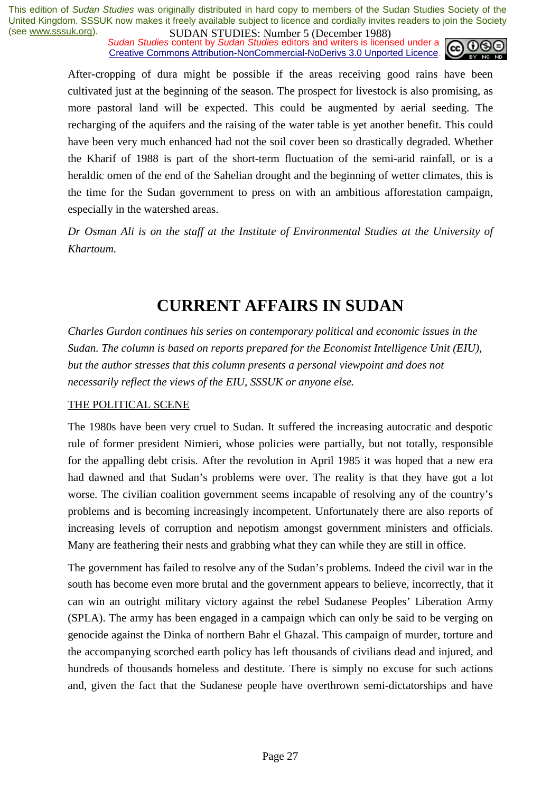*Sudan Studies content by Sudan Studies editors and writers is licensed under a* Creative Commons Attribution-NonCommercial-NoDerivs 3.0 Unported Licence.



After-cropping of dura might be possible if the areas receiving good rains have been cultivated just at the beginning of the season. The prospect for livestock is also promising, as more pastoral land will be expected. This could be augmented by aerial seeding. The recharging of the aquifers and the raising of the water table is yet another benefit. This could have been very much enhanced had not the soil cover been so drastically degraded. Whether the Kharif of 1988 is part of the short-term fluctuation of the semi-arid rainfall, or is a heraldic omen of the end of the Sahelian drought and the beginning of wetter climates, this is the time for the Sudan government to press on with an ambitious afforestation campaign, especially in the watershed areas.

*Dr Osman Ali is on the staff at the Institute of Environmental Studies at the University of Khartoum.* 

## **CURRENT AFFAIRS IN SUDAN**

*Charles Gurdon continues his series on contemporary political and economic issues in the Sudan. The column is based on reports prepared for the Economist Intelligence Unit (EIU), but the author stresses that this column presents a personal viewpoint and does not necessarily reflect the views of the EIU, SSSUK or anyone else.* 

#### THE POLITICAL SCENE

The 1980s have been very cruel to Sudan. It suffered the increasing autocratic and despotic rule of former president Nimieri, whose policies were partially, but not totally, responsible for the appalling debt crisis. After the revolution in April 1985 it was hoped that a new era had dawned and that Sudan's problems were over. The reality is that they have got a lot worse. The civilian coalition government seems incapable of resolving any of the country's problems and is becoming increasingly incompetent. Unfortunately there are also reports of increasing levels of corruption and nepotism amongst government ministers and officials. Many are feathering their nests and grabbing what they can while they are still in office.

The government has failed to resolve any of the Sudan's problems. Indeed the civil war in the south has become even more brutal and the government appears to believe, incorrectly, that it can win an outright military victory against the rebel Sudanese Peoples' Liberation Army (SPLA). The army has been engaged in a campaign which can only be said to be verging on genocide against the Dinka of northern Bahr el Ghazal. This campaign of murder, torture and the accompanying scorched earth policy has left thousands of civilians dead and injured, and hundreds of thousands homeless and destitute. There is simply no excuse for such actions and, given the fact that the Sudanese people have overthrown semi-dictatorships and have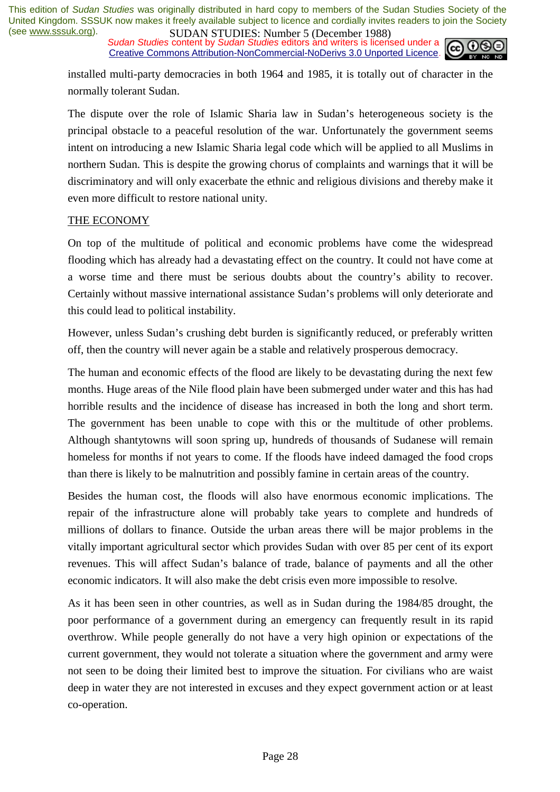**SUDAN STUDIES:** NUTTER JUNCTER SURVISION 1700,<br>Sudan Studies content by Sudan Studies editors and writers is licensed under a Creative Commons Attribution-NonCommercial-NoDerivs 3.0 Unported Licence.



installed multi-party democracies in both 1964 and 1985, it is totally out of character in the normally tolerant Sudan.

The dispute over the role of Islamic Sharia law in Sudan's heterogeneous society is the principal obstacle to a peaceful resolution of the war. Unfortunately the government seems intent on introducing a new Islamic Sharia legal code which will be applied to all Muslims in northern Sudan. This is despite the growing chorus of complaints and warnings that it will be discriminatory and will only exacerbate the ethnic and religious divisions and thereby make it even more difficult to restore national unity.

#### THE ECONOMY

On top of the multitude of political and economic problems have come the widespread flooding which has already had a devastating effect on the country. It could not have come at a worse time and there must be serious doubts about the country's ability to recover. Certainly without massive international assistance Sudan's problems will only deteriorate and this could lead to political instability.

However, unless Sudan's crushing debt burden is significantly reduced, or preferably written off, then the country will never again be a stable and relatively prosperous democracy.

The human and economic effects of the flood are likely to be devastating during the next few months. Huge areas of the Nile flood plain have been submerged under water and this has had horrible results and the incidence of disease has increased in both the long and short term. The government has been unable to cope with this or the multitude of other problems. Although shantytowns will soon spring up, hundreds of thousands of Sudanese will remain homeless for months if not years to come. If the floods have indeed damaged the food crops than there is likely to be malnutrition and possibly famine in certain areas of the country.

Besides the human cost, the floods will also have enormous economic implications. The repair of the infrastructure alone will probably take years to complete and hundreds of millions of dollars to finance. Outside the urban areas there will be major problems in the vitally important agricultural sector which provides Sudan with over 85 per cent of its export revenues. This will affect Sudan's balance of trade, balance of payments and all the other economic indicators. It will also make the debt crisis even more impossible to resolve.

As it has been seen in other countries, as well as in Sudan during the 1984/85 drought, the poor performance of a government during an emergency can frequently result in its rapid overthrow. While people generally do not have a very high opinion or expectations of the current government, they would not tolerate a situation where the government and army were not seen to be doing their limited best to improve the situation. For civilians who are waist deep in water they are not interested in excuses and they expect government action or at least co-operation.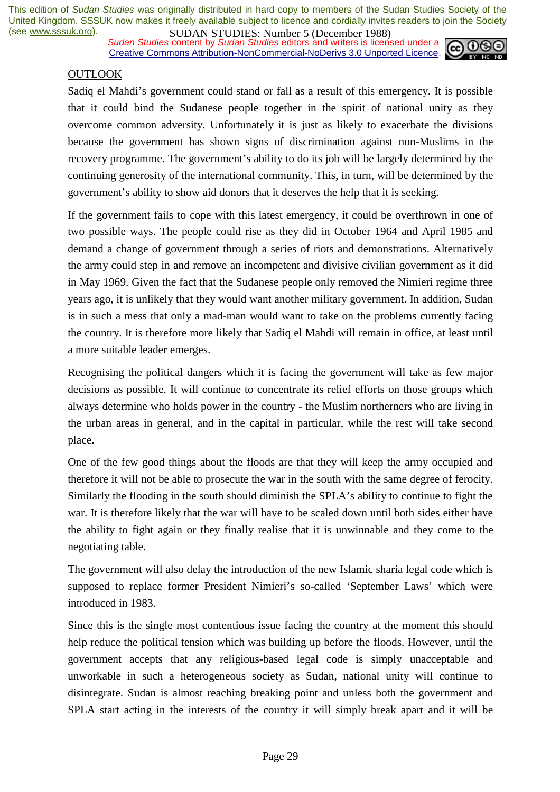*Sudan Studies content by Sudan Studies editors and writers is licensed under a* Creative Commons Attribution-NonCommercial-NoDerivs 3.0 Unported Licence.



#### OUTLOOK

Sadiq el Mahdi's government could stand or fall as a result of this emergency. It is possible that it could bind the Sudanese people together in the spirit of national unity as they overcome common adversity. Unfortunately it is just as likely to exacerbate the divisions because the government has shown signs of discrimination against non-Muslims in the recovery programme. The government's ability to do its job will be largely determined by the continuing generosity of the international community. This, in turn, will be determined by the government's ability to show aid donors that it deserves the help that it is seeking.

If the government fails to cope with this latest emergency, it could be overthrown in one of two possible ways. The people could rise as they did in October 1964 and April 1985 and demand a change of government through a series of riots and demonstrations. Alternatively the army could step in and remove an incompetent and divisive civilian government as it did in May 1969. Given the fact that the Sudanese people only removed the Nimieri regime three years ago, it is unlikely that they would want another military government. In addition, Sudan is in such a mess that only a mad-man would want to take on the problems currently facing the country. It is therefore more likely that Sadiq el Mahdi will remain in office, at least until a more suitable leader emerges.

Recognising the political dangers which it is facing the government will take as few major decisions as possible. It will continue to concentrate its relief efforts on those groups which always determine who holds power in the country - the Muslim northerners who are living in the urban areas in general, and in the capital in particular, while the rest will take second place.

One of the few good things about the floods are that they will keep the army occupied and therefore it will not be able to prosecute the war in the south with the same degree of ferocity. Similarly the flooding in the south should diminish the SPLA's ability to continue to fight the war. It is therefore likely that the war will have to be scaled down until both sides either have the ability to fight again or they finally realise that it is unwinnable and they come to the negotiating table.

The government will also delay the introduction of the new Islamic sharia legal code which is supposed to replace former President Nimieri's so-called 'September Laws' which were introduced in 1983.

Since this is the single most contentious issue facing the country at the moment this should help reduce the political tension which was building up before the floods. However, until the government accepts that any religious-based legal code is simply unacceptable and unworkable in such a heterogeneous society as Sudan, national unity will continue to disintegrate. Sudan is almost reaching breaking point and unless both the government and SPLA start acting in the interests of the country it will simply break apart and it will be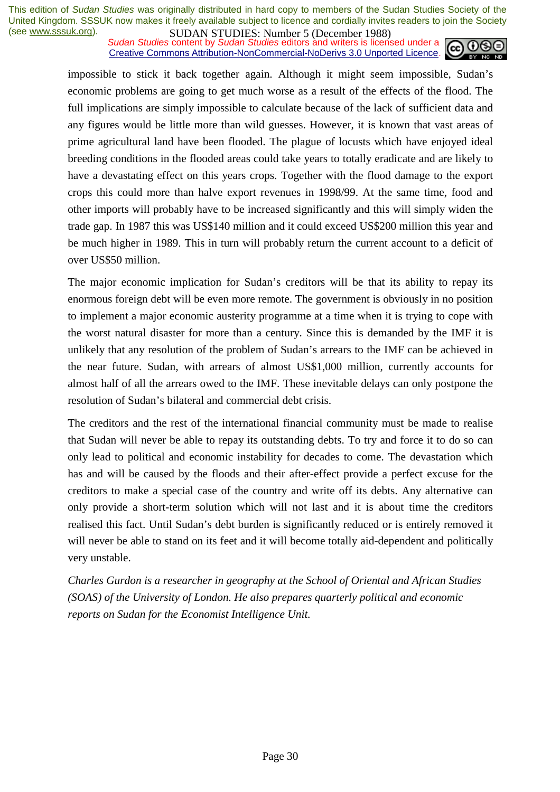*Sudan Studies content by Sudan Studies editors and writers is licensed under a* Creative Commons Attribution-NonCommercial-NoDerivs 3.0 Unported Licence.



impossible to stick it back together again. Although it might seem impossible, Sudan's economic problems are going to get much worse as a result of the effects of the flood. The full implications are simply impossible to calculate because of the lack of sufficient data and any figures would be little more than wild guesses. However, it is known that vast areas of prime agricultural land have been flooded. The plague of locusts which have enjoyed ideal breeding conditions in the flooded areas could take years to totally eradicate and are likely to have a devastating effect on this years crops. Together with the flood damage to the export crops this could more than halve export revenues in 1998/99. At the same time, food and other imports will probably have to be increased significantly and this will simply widen the trade gap. In 1987 this was US\$140 million and it could exceed US\$200 million this year and be much higher in 1989. This in turn will probably return the current account to a deficit of over US\$50 million.

The major economic implication for Sudan's creditors will be that its ability to repay its enormous foreign debt will be even more remote. The government is obviously in no position to implement a major economic austerity programme at a time when it is trying to cope with the worst natural disaster for more than a century. Since this is demanded by the IMF it is unlikely that any resolution of the problem of Sudan's arrears to the IMF can be achieved in the near future. Sudan, with arrears of almost US\$1,000 million, currently accounts for almost half of all the arrears owed to the IMF. These inevitable delays can only postpone the resolution of Sudan's bilateral and commercial debt crisis.

The creditors and the rest of the international financial community must be made to realise that Sudan will never be able to repay its outstanding debts. To try and force it to do so can only lead to political and economic instability for decades to come. The devastation which has and will be caused by the floods and their after-effect provide a perfect excuse for the creditors to make a special case of the country and write off its debts. Any alternative can only provide a short-term solution which will not last and it is about time the creditors realised this fact. Until Sudan's debt burden is significantly reduced or is entirely removed it will never be able to stand on its feet and it will become totally aid-dependent and politically very unstable.

*Charles Gurdon is a researcher in geography at the School of Oriental and African Studies (SOAS) of the University of London. He also prepares quarterly political and economic reports on Sudan for the Economist Intelligence Unit.*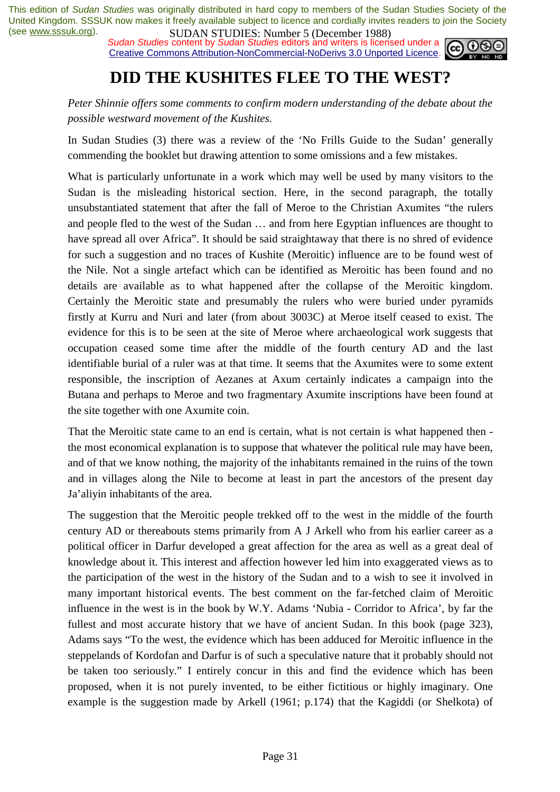*Sudan Studies content by Sudan Studies editors and writers is licensed under a* Creative Commons Attribution-NonCommercial-NoDerivs 3.0 Unported Licence.



## **DID THE KUSHITES FLEE TO THE WEST?**

*Peter Shinnie offers some comments to confirm modern understanding of the debate about the possible westward movement of the Kushites.* 

In Sudan Studies (3) there was a review of the 'No Frills Guide to the Sudan' generally commending the booklet but drawing attention to some omissions and a few mistakes.

What is particularly unfortunate in a work which may well be used by many visitors to the Sudan is the misleading historical section. Here, in the second paragraph, the totally unsubstantiated statement that after the fall of Meroe to the Christian Axumites "the rulers and people fled to the west of the Sudan … and from here Egyptian influences are thought to have spread all over Africa". It should be said straightaway that there is no shred of evidence for such a suggestion and no traces of Kushite (Meroitic) influence are to be found west of the Nile. Not a single artefact which can be identified as Meroitic has been found and no details are available as to what happened after the collapse of the Meroitic kingdom. Certainly the Meroitic state and presumably the rulers who were buried under pyramids firstly at Kurru and Nuri and later (from about 3003C) at Meroe itself ceased to exist. The evidence for this is to be seen at the site of Meroe where archaeological work suggests that occupation ceased some time after the middle of the fourth century AD and the last identifiable burial of a ruler was at that time. It seems that the Axumites were to some extent responsible, the inscription of Aezanes at Axum certainly indicates a campaign into the Butana and perhaps to Meroe and two fragmentary Axumite inscriptions have been found at the site together with one Axumite coin.

That the Meroitic state came to an end is certain, what is not certain is what happened then the most economical explanation is to suppose that whatever the political rule may have been, and of that we know nothing, the majority of the inhabitants remained in the ruins of the town and in villages along the Nile to become at least in part the ancestors of the present day Ja'aliyin inhabitants of the area.

The suggestion that the Meroitic people trekked off to the west in the middle of the fourth century AD or thereabouts stems primarily from A J Arkell who from his earlier career as a political officer in Darfur developed a great affection for the area as well as a great deal of knowledge about it. This interest and affection however led him into exaggerated views as to the participation of the west in the history of the Sudan and to a wish to see it involved in many important historical events. The best comment on the far-fetched claim of Meroitic influence in the west is in the book by W.Y. Adams 'Nubia - Corridor to Africa', by far the fullest and most accurate history that we have of ancient Sudan. In this book (page 323), Adams says "To the west, the evidence which has been adduced for Meroitic influence in the steppelands of Kordofan and Darfur is of such a speculative nature that it probably should not be taken too seriously." I entirely concur in this and find the evidence which has been proposed, when it is not purely invented, to be either fictitious or highly imaginary. One example is the suggestion made by Arkell (1961; p.174) that the Kagiddi (or Shelkota) of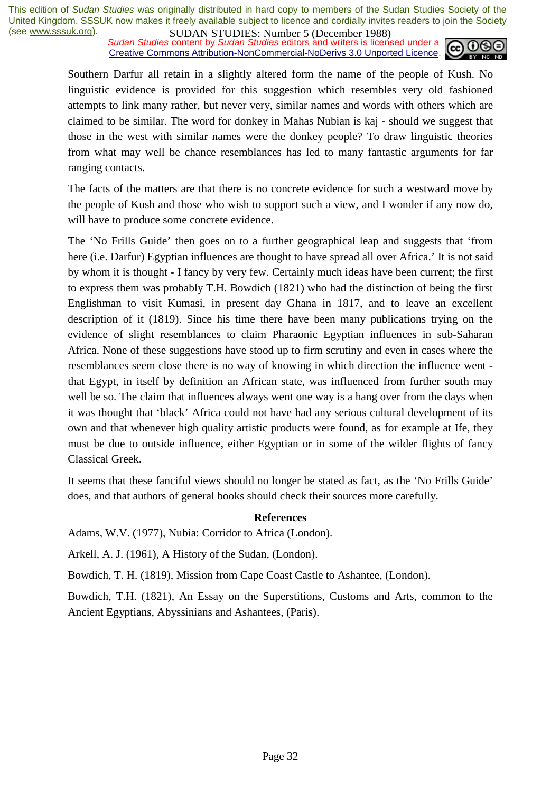*Sudan Studies content by Sudan Studies editors and writers is licensed under a* Creative Commons Attribution-NonCommercial-NoDerivs 3.0 Unported Licence.



Southern Darfur all retain in a slightly altered form the name of the people of Kush. No linguistic evidence is provided for this suggestion which resembles very old fashioned attempts to link many rather, but never very, similar names and words with others which are claimed to be similar. The word for donkey in Mahas Nubian is kaj - should we suggest that those in the west with similar names were the donkey people? To draw linguistic theories from what may well be chance resemblances has led to many fantastic arguments for far ranging contacts.

The facts of the matters are that there is no concrete evidence for such a westward move by the people of Kush and those who wish to support such a view, and I wonder if any now do, will have to produce some concrete evidence.

The 'No Frills Guide' then goes on to a further geographical leap and suggests that 'from here (i.e. Darfur) Egyptian influences are thought to have spread all over Africa.' It is not said by whom it is thought - I fancy by very few. Certainly much ideas have been current; the first to express them was probably T.H. Bowdich (1821) who had the distinction of being the first Englishman to visit Kumasi, in present day Ghana in 1817, and to leave an excellent description of it (1819). Since his time there have been many publications trying on the evidence of slight resemblances to claim Pharaonic Egyptian influences in sub-Saharan Africa. None of these suggestions have stood up to firm scrutiny and even in cases where the resemblances seem close there is no way of knowing in which direction the influence went that Egypt, in itself by definition an African state, was influenced from further south may well be so. The claim that influences always went one way is a hang over from the days when it was thought that 'black' Africa could not have had any serious cultural development of its own and that whenever high quality artistic products were found, as for example at Ife, they must be due to outside influence, either Egyptian or in some of the wilder flights of fancy Classical Greek.

It seems that these fanciful views should no longer be stated as fact, as the 'No Frills Guide' does, and that authors of general books should check their sources more carefully.

#### **References**

Adams, W.V. (1977), Nubia: Corridor to Africa (London).

Arkell, A. J. (1961), A History of the Sudan, (London).

Bowdich, T. H. (1819), Mission from Cape Coast Castle to Ashantee, (London).

Bowdich, T.H. (1821), An Essay on the Superstitions, Customs and Arts, common to the Ancient Egyptians, Abyssinians and Ashantees, (Paris).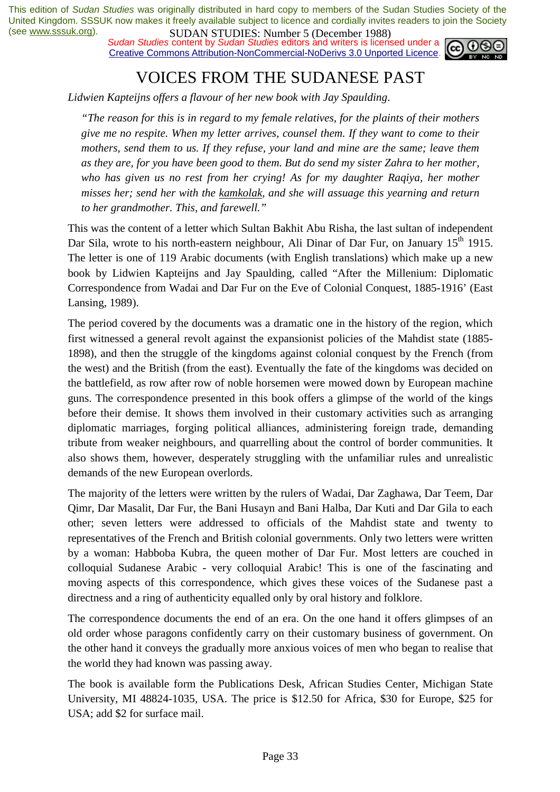*Sudan Studies content by Sudan Studies editors and writers is licensed under a* Creative Commons Attribution-NonCommercial-NoDerivs 3.0 Unported Licence.



### VOICES FROM THE SUDANESE PAST

*Lidwien Kapteijns offers a flavour of her new book with Jay Spaulding*.

*"The reason for this is in regard to my female relatives, for the plaints of their mothers give me no respite. When my letter arrives, counsel them. If they want to come to their mothers, send them to us. If they refuse, your land and mine are the same; leave them as they are, for you have been good to them. But do send my sister Zahra to her mother, who has given us no rest from her crying! As for my daughter Raqiya, her mother misses her; send her with the kamkolak, and she will assuage this yearning and return to her grandmother. This, and farewell."* 

This was the content of a letter which Sultan Bakhit Abu Risha, the last sultan of independent Dar Sila, wrote to his north-eastern neighbour, Ali Dinar of Dar Fur, on January 15<sup>th</sup> 1915. The letter is one of 119 Arabic documents (with English translations) which make up a new book by Lidwien Kapteijns and Jay Spaulding, called "After the Millenium: Diplomatic Correspondence from Wadai and Dar Fur on the Eve of Colonial Conquest, 1885-1916' (East Lansing, 1989).

The period covered by the documents was a dramatic one in the history of the region, which first witnessed a general revolt against the expansionist policies of the Mahdist state (1885- 1898), and then the struggle of the kingdoms against colonial conquest by the French (from the west) and the British (from the east). Eventually the fate of the kingdoms was decided on the battlefield, as row after row of noble horsemen were mowed down by European machine guns. The correspondence presented in this book offers a glimpse of the world of the kings before their demise. It shows them involved in their customary activities such as arranging diplomatic marriages, forging political alliances, administering foreign trade, demanding tribute from weaker neighbours, and quarrelling about the control of border communities. It also shows them, however, desperately struggling with the unfamiliar rules and unrealistic demands of the new European overlords.

The majority of the letters were written by the rulers of Wadai, Dar Zaghawa, Dar Teem, Dar Qimr, Dar Masalit, Dar Fur, the Bani Husayn and Bani Halba, Dar Kuti and Dar Gila to each other; seven letters were addressed to officials of the Mahdist state and twenty to representatives of the French and British colonial governments. Only two letters were written by a woman: Habboba Kubra, the queen mother of Dar Fur. Most letters are couched in colloquial Sudanese Arabic - very colloquial Arabic! This is one of the fascinating and moving aspects of this correspondence, which gives these voices of the Sudanese past a directness and a ring of authenticity equalled only by oral history and folklore.

The correspondence documents the end of an era. On the one hand it offers glimpses of an old order whose paragons confidently carry on their customary business of government. On the other hand it conveys the gradually more anxious voices of men who began to realise that the world they had known was passing away.

The book is available form the Publications Desk, African Studies Center, Michigan State University, MI 48824-1035, USA. The price is \$12.50 for Africa, \$30 for Europe, \$25 for USA; add \$2 for surface mail.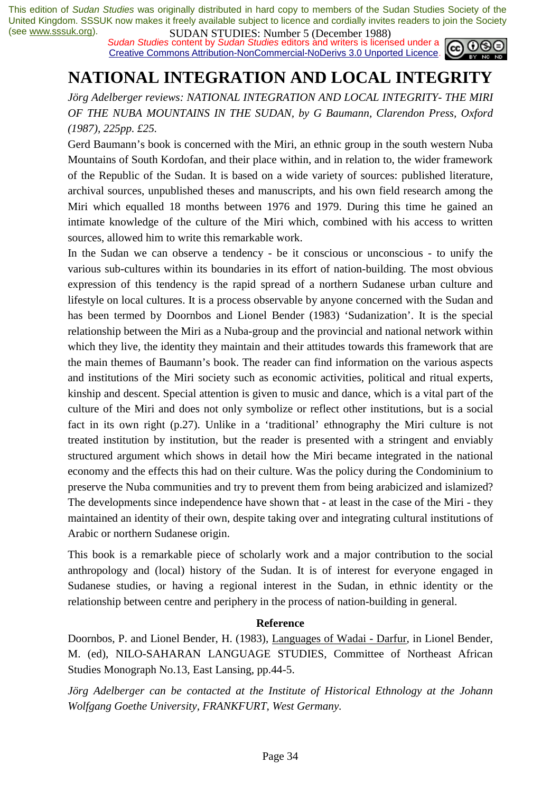*Sudan Studies content by Sudan Studies editors and writers is licensed under a* Creative Commons Attribution-NonCommercial-NoDerivs 3.0 Unported Licence.



## **NATIONAL INTEGRATION AND LOCAL INTEGRITY**

*Jörg Adelberger reviews: NATIONAL INTEGRATION AND LOCAL INTEGRITY- THE MIRI OF THE NUBA MOUNTAINS IN THE SUDAN, by G Baumann, Clarendon Press, Oxford (1987), 225pp. £25.* 

Gerd Baumann's book is concerned with the Miri, an ethnic group in the south western Nuba Mountains of South Kordofan, and their place within, and in relation to, the wider framework of the Republic of the Sudan. It is based on a wide variety of sources: published literature, archival sources, unpublished theses and manuscripts, and his own field research among the Miri which equalled 18 months between 1976 and 1979. During this time he gained an intimate knowledge of the culture of the Miri which, combined with his access to written sources, allowed him to write this remarkable work.

In the Sudan we can observe a tendency - be it conscious or unconscious - to unify the various sub-cultures within its boundaries in its effort of nation-building. The most obvious expression of this tendency is the rapid spread of a northern Sudanese urban culture and lifestyle on local cultures. It is a process observable by anyone concerned with the Sudan and has been termed by Doornbos and Lionel Bender (1983) 'Sudanization'. It is the special relationship between the Miri as a Nuba-group and the provincial and national network within which they live, the identity they maintain and their attitudes towards this framework that are the main themes of Baumann's book. The reader can find information on the various aspects and institutions of the Miri society such as economic activities, political and ritual experts, kinship and descent. Special attention is given to music and dance, which is a vital part of the culture of the Miri and does not only symbolize or reflect other institutions, but is a social fact in its own right (p.27). Unlike in a 'traditional' ethnography the Miri culture is not treated institution by institution, but the reader is presented with a stringent and enviably structured argument which shows in detail how the Miri became integrated in the national economy and the effects this had on their culture. Was the policy during the Condominium to preserve the Nuba communities and try to prevent them from being arabicized and islamized? The developments since independence have shown that - at least in the case of the Miri - they maintained an identity of their own, despite taking over and integrating cultural institutions of Arabic or northern Sudanese origin.

This book is a remarkable piece of scholarly work and a major contribution to the social anthropology and (local) history of the Sudan. It is of interest for everyone engaged in Sudanese studies, or having a regional interest in the Sudan, in ethnic identity or the relationship between centre and periphery in the process of nation-building in general.

#### **Reference**

Doornbos, P. and Lionel Bender, H. (1983), Languages of Wadai - Darfur, in Lionel Bender, M. (ed), NILO-SAHARAN LANGUAGE STUDIES, Committee of Northeast African Studies Monograph No.13, East Lansing, pp.44-5.

*Jörg Adelberger can be contacted at the Institute of Historical Ethnology at the Johann Wolfgang Goethe University, FRANKFURT, West Germany.*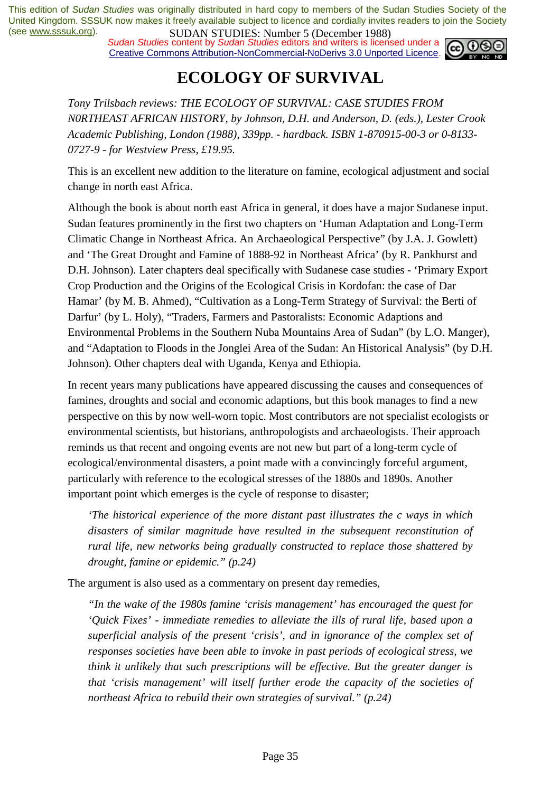*Sudan Studies content by Sudan Studies editors and writers is licensed under a* Creative Commons Attribution-NonCommercial-NoDerivs 3.0 Unported Licence.



## **ECOLOGY OF SURVIVAL**

*Tony Trilsbach reviews: THE ECOLOGY OF SURVIVAL: CASE STUDIES FROM N0RTHEAST AFRICAN HISTORY, by Johnson, D.H. and Anderson, D. (eds.), Lester Crook Academic Publishing, London (1988), 339pp. - hardback. ISBN 1-870915-00-3 or 0-8133- 0727-9 - for Westview Press, £19.95.* 

This is an excellent new addition to the literature on famine, ecological adjustment and social change in north east Africa.

Although the book is about north east Africa in general, it does have a major Sudanese input. Sudan features prominently in the first two chapters on 'Human Adaptation and Long-Term Climatic Change in Northeast Africa. An Archaeological Perspective" (by J.A. J. Gowlett) and 'The Great Drought and Famine of 1888-92 in Northeast Africa' (by R. Pankhurst and D.H. Johnson). Later chapters deal specifically with Sudanese case studies - 'Primary Export Crop Production and the Origins of the Ecological Crisis in Kordofan: the case of Dar Hamar' (by M. B. Ahmed), "Cultivation as a Long-Term Strategy of Survival: the Berti of Darfur' (by L. Holy), "Traders, Farmers and Pastoralists: Economic Adaptions and Environmental Problems in the Southern Nuba Mountains Area of Sudan" (by L.O. Manger), and "Adaptation to Floods in the Jonglei Area of the Sudan: An Historical Analysis" (by D.H. Johnson). Other chapters deal with Uganda, Kenya and Ethiopia.

In recent years many publications have appeared discussing the causes and consequences of famines, droughts and social and economic adaptions, but this book manages to find a new perspective on this by now well-worn topic. Most contributors are not specialist ecologists or environmental scientists, but historians, anthropologists and archaeologists. Their approach reminds us that recent and ongoing events are not new but part of a long-term cycle of ecological/environmental disasters, a point made with a convincingly forceful argument, particularly with reference to the ecological stresses of the 1880s and 1890s. Another important point which emerges is the cycle of response to disaster;

*'The historical experience of the more distant past illustrates the c ways in which disasters of similar magnitude have resulted in the subsequent reconstitution of rural life, new networks being gradually constructed to replace those shattered by drought, famine or epidemic." (p.24)* 

The argument is also used as a commentary on present day remedies,

*"In the wake of the 1980s famine 'crisis management' has encouraged the quest for 'Quick Fixes' - immediate remedies to alleviate the ills of rural life, based upon a superficial analysis of the present 'crisis', and in ignorance of the complex set of responses societies have been able to invoke in past periods of ecological stress, we think it unlikely that such prescriptions will be effective. But the greater danger is that 'crisis management' will itself further erode the capacity of the societies of northeast Africa to rebuild their own strategies of survival." (p.24)*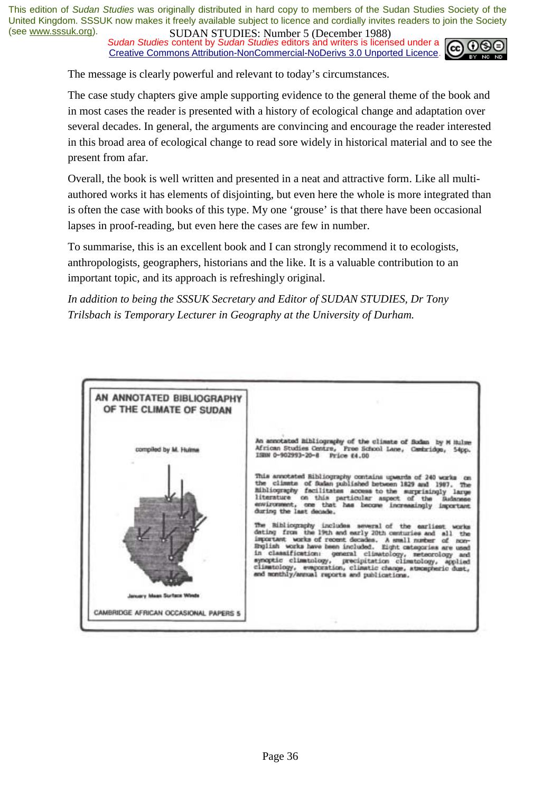**Sudan Studies content by Sudan Studies editors and writers is licensed under a** Creative Commons Attribution-NonCommercial-NoDerivs 3.0 Unported Licence.



The message is clearly powerful and relevant to today's circumstances.

The case study chapters give ample supporting evidence to the general theme of the book and in most cases the reader is presented with a history of ecological change and adaptation over several decades. In general, the arguments are convincing and encourage the reader interested in this broad area of ecological change to read sore widely in historical material and to see the present from afar.

Overall, the book is well written and presented in a neat and attractive form. Like all multiauthored works it has elements of disjointing, but even here the whole is more integrated than is often the case with books of this type. My one 'grouse' is that there have been occasional lapses in proof-reading, but even here the cases are few in number.

To summarise, this is an excellent book and I can strongly recommend it to ecologists, anthropologists, geographers, historians and the like. It is a valuable contribution to an important topic, and its approach is refreshingly original.

*In addition to being the SSSUK Secretary and Editor of SUDAN STUDIES, Dr Tony Trilsbach is Temporary Lecturer in Geography at the University of Durham.* 

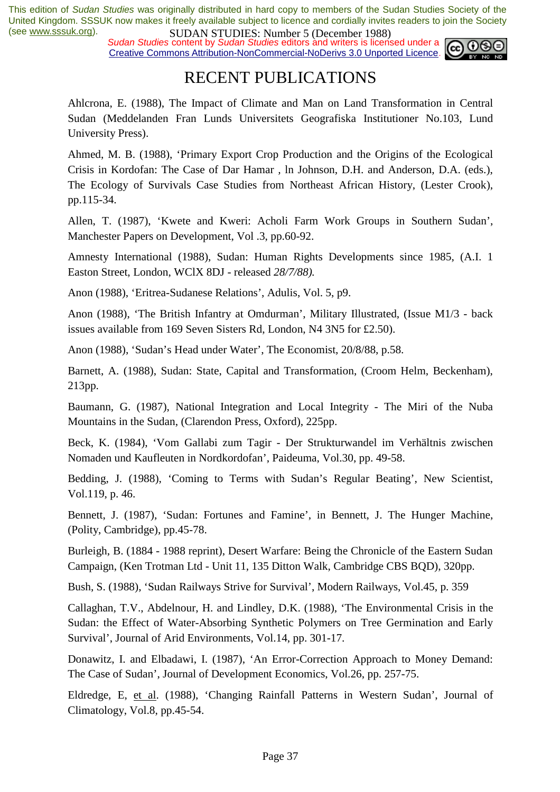*Sudan Studies content by Sudan Studies editors and writers is licensed under a* Creative Commons Attribution-NonCommercial-NoDerivs 3.0 Unported Licence.



### RECENT PUBLICATIONS

Ahlcrona, E. (1988), The Impact of Climate and Man on Land Transformation in Central Sudan (Meddelanden Fran Lunds Universitets Geografiska Institutioner No.103, Lund University Press).

Ahmed, M. B. (1988), 'Primary Export Crop Production and the Origins of the Ecological Crisis in Kordofan: The Case of Dar Hamar *,* ln Johnson, D.H. and Anderson, D.A. (eds.), The Ecology of Survivals Case Studies from Northeast African History, (Lester Crook), pp.115-34.

Allen, T. (1987), 'Kwete and Kweri: Acholi Farm Work Groups in Southern Sudan', Manchester Papers on Development, Vol .3, pp.60-92.

Amnesty International (1988), Sudan: Human Rights Developments since 1985, (A.I. 1 Easton Street, London, WClX 8DJ - released *28/7/88).* 

Anon (1988), 'Eritrea-Sudanese Relations', Adulis, Vol. 5, p9.

Anon (1988), 'The British Infantry at Omdurman', Military Illustrated, (Issue M1/3 - back issues available from 169 Seven Sisters Rd, London, N4 3N5 for £2.50).

Anon (1988), 'Sudan's Head under Water', The Economist, 20/8/88, p.58.

Barnett, A. (1988), Sudan: State, Capital and Transformation, (Croom Helm, Beckenham), 213pp.

Baumann, G. (1987), National Integration and Local Integrity - The Miri of the Nuba Mountains in the Sudan, (Clarendon Press, Oxford), 225pp.

Beck, K. (1984), 'Vom Gallabi zum Tagir - Der Strukturwandel im Verhältnis zwischen Nomaden und Kaufleuten in Nordkordofan', Paideuma, Vol.30, pp. 49-58.

Bedding, J*.* (1988), 'Coming to Terms with Sudan's Regular Beating', New Scientist, Vol.119, p. 46.

Bennett, J. (1987), 'Sudan: Fortunes and Famine', in Bennett, J. The Hunger Machine, (Polity, Cambridge), pp.45-78.

Burleigh, B. (1884 - 1988 reprint), Desert Warfare: Being the Chronicle of the Eastern Sudan Campaign, (Ken Trotman Ltd - Unit 11, 135 Ditton Walk, Cambridge CBS BQD), 320pp.

Bush, S. (1988), 'Sudan Railways Strive for Survival', Modern Railways, Vol.45, p. 359

Callaghan, T.V., Abdelnour, H. and Lindley, D.K. (1988), 'The Environmental Crisis in the Sudan: the Effect of Water-Absorbing Synthetic Polymers on Tree Germination and Early Survival', Journal of Arid Environments, Vol.14, pp. 301-17.

Donawitz, I. and Elbadawi, I. (1987), 'An Error-Correction Approach to Money Demand: The Case of Sudan', Journal of Development Economics, Vol.26, pp. 257-75.

Eldredge, E, et al. (1988), 'Changing Rainfall Patterns in Western Sudan', Journal of Climatology, Vol.8, pp.45-54.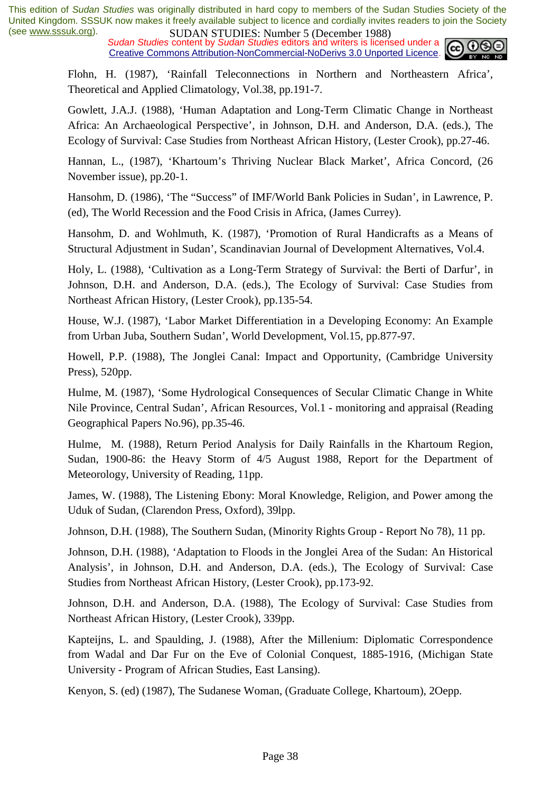*Sudan Studies content by Sudan Studies editors and writers is licensed under a* Creative Commons Attribution-NonCommercial-NoDerivs 3.0 Unported Licence.



Flohn, H. (1987), 'Rainfall Teleconnections in Northern and Northeastern Africa', Theoretical and Applied Climatology, Vol.38, pp.191-7.

Gowlett, J.A.J. (1988), 'Human Adaptation and Long-Term Climatic Change in Northeast Africa: An Archaeological Perspective', in Johnson, D.H. and Anderson, D.A. (eds.), The Ecology of Survival: Case Studies from Northeast African History, (Lester Crook), pp.27-46.

Hannan, L., (1987), 'Khartoum's Thriving Nuclear Black Market', Africa Concord, (26 November issue), pp.20-1.

Hansohm, D. (1986), 'The "Success" of IMF/World Bank Policies in Sudan', in Lawrence, P. (ed), The World Recession and the Food Crisis in Africa, (James Currey).

Hansohm, D. and Wohlmuth, K. (1987), 'Promotion of Rural Handicrafts as a Means of Structural Adjustment in Sudan', Scandinavian Journal of Development Alternatives, Vol.4.

Holy, L. (1988), 'Cultivation as a Long-Term Strategy of Survival: the Berti of Darfur', in Johnson, D.H. and Anderson, D.A. (eds.), The Ecology of Survival: Case Studies from Northeast African History, (Lester Crook), pp.135-54.

House, W.J. (1987), 'Labor Market Differentiation in a Developing Economy: An Example from Urban Juba, Southern Sudan', World Development, Vol.15, pp.877-97.

Howell, P.P. (1988), The Jonglei Canal: Impact and Opportunity, (Cambridge University Press), 520pp.

Hulme, M. (1987), 'Some Hydrological Consequences of Secular Climatic Change in White Nile Province, Central Sudan', African Resources, Vol.1 - monitoring and appraisal (Reading Geographical Papers No.96), pp.35-46.

Hulme, M. (1988), Return Period Analysis for Daily Rainfalls in the Khartoum Region, Sudan, 1900-86: the Heavy Storm of 4/5 August 1988, Report for the Department of Meteorology, University of Reading, 11pp.

James, W. (1988), The Listening Ebony: Moral Knowledge*,* Religion, and Power among the Uduk of Sudan, (Clarendon Press, Oxford), 39lpp.

Johnson, D.H. (1988), The Southern Sudan, (Minority Rights Group - Report No 78), 11 pp.

Johnson, D.H. (1988), 'Adaptation to Floods in the Jonglei Area of the Sudan: An Historical Analysis', in Johnson, D.H. and Anderson, D.A. (eds.), The Ecology of Survival: Case Studies from Northeast African History, (Lester Crook), pp.173-92.

Johnson, D.H. and Anderson, D.A. (1988), The Ecology of Survival: Case Studies from Northeast African History, (Lester Crook), 339pp.

Kapteijns, L. and Spaulding, J. (1988), After the Millenium: Diplomatic Correspondence from Wadal and Dar Fur on the Eve of Colonial Conquest, 1885-1916, (Michigan State University - Program of African Studies, East Lansing).

Kenyon, S. (ed) (1987), The Sudanese Woman, (Graduate College, Khartoum), 2Oepp.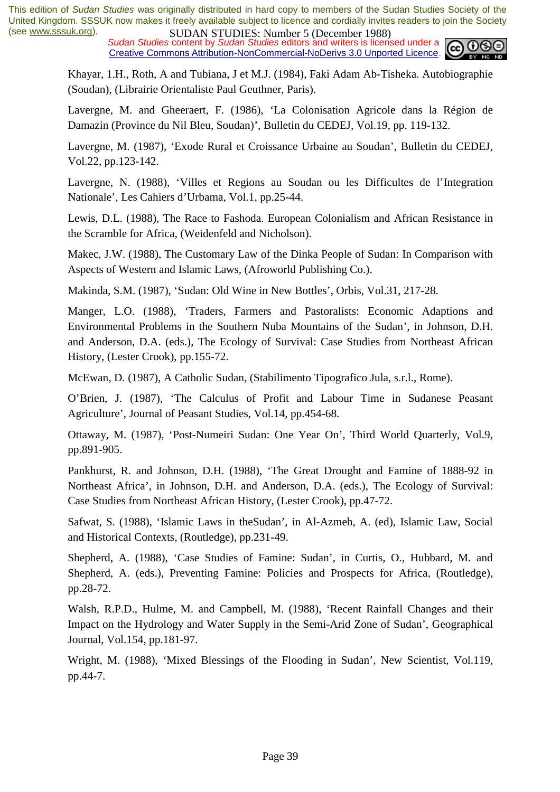*Sudan Studies content by Sudan Studies editors and writers is licensed under a* Creative Commons Attribution-NonCommercial-NoDerivs 3.0 Unported Licence.



Khayar, 1.H., Roth, A and Tubiana, J et M.J. (1984), Faki Adam Ab-Tisheka. Autobiographie (Soudan), (Librairie Orientaliste Paul Geuthner, Paris).

Lavergne, M. and Gheeraert, F. (1986), 'La Colonisation Agricole dans la Région de Damazin (Province du Nil Bleu, Soudan)', Bulletin du CEDEJ, Vol.19, pp. 119-132.

Lavergne, M. (1987), 'Exode Rural et Croissance Urbaine au Soudan', Bulletin du CEDEJ, Vol.22, pp.123-142.

Lavergne, N. (1988), 'Villes et Regions au Soudan ou les Difficultes de l'Integration Nationale', Les Cahiers d'Urbama, Vol.1, pp.25-44.

Lewis, D.L. (1988), The Race to Fashoda. European Colonialism and African Resistance in the Scramble for Africa, (Weidenfeld and Nicholson).

Makec, J.W. (1988), The Customary Law of the Dinka People of Sudan: In Comparison with Aspects of Western and Islamic Laws, (Afroworld Publishing Co.).

Makinda, S.M. (1987), 'Sudan: Old Wine in New Bottles', Orbis, Vol.31, 217-28.

Manger, L.O. (1988), 'Traders, Farmers and Pastoralists: Economic Adaptions and Environmental Problems in the Southern Nuba Mountains of the Sudan', in Johnson, D.H. and Anderson, D.A. (eds.), The Ecology of Survival: Case Studies from Northeast African History, (Lester Crook), pp.155-72.

McEwan, D. (1987), A Catholic Sudan, (Stabilimento Tipografico Jula, s.r.l., Rome).

O'Brien, J*.* (1987), 'The Calculus of Profit and Labour Time in Sudanese Peasant Agriculture', Journal of Peasant Studies, Vol.14, pp.454-68.

Ottaway, M. (1987), 'Post-Numeiri Sudan: One Year On', Third World Quarterly, Vol.9, pp.891-905.

Pankhurst, R. and Johnson, D.H. (1988), 'The Great Drought and Famine of 1888-92 in Northeast Africa', in Johnson, D.H. and Anderson, D.A. (eds.), The Ecology of Survival: Case Studies from Northeast African History, (Lester Crook), pp.47-72.

Safwat, S. (1988), 'Islamic Laws in theSudan', in Al-Azmeh, A. (ed), Islamic Law, Social and Historical Contexts, (Routledge), pp.231-49.

Shepherd, A. (1988), 'Case Studies of Famine: Sudan', in Curtis, O., Hubbard, M. and Shepherd, A. (eds.), Preventing Famine: Policies and Prospects for Africa, (Routledge), pp.28-72.

Walsh, R.P.D., Hulme, M. and Campbell, M. (1988), 'Recent Rainfall Changes and their Impact on the Hydrology and Water Supply in the Semi-Arid Zone of Sudan', Geographical Journal, Vol.154, pp.181-97.

Wright, M. (1988), 'Mixed Blessings of the Flooding in Sudan', New Scientist, Vol.119, pp.44-7.